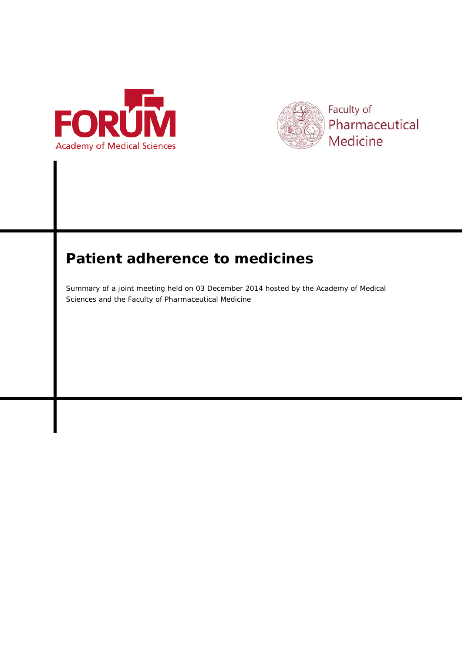



# **Patient adherence to medicines**

Summary of a joint meeting held on 03 December 2014 hosted by the Academy of Medical Sciences and the Faculty of Pharmaceutical Medicine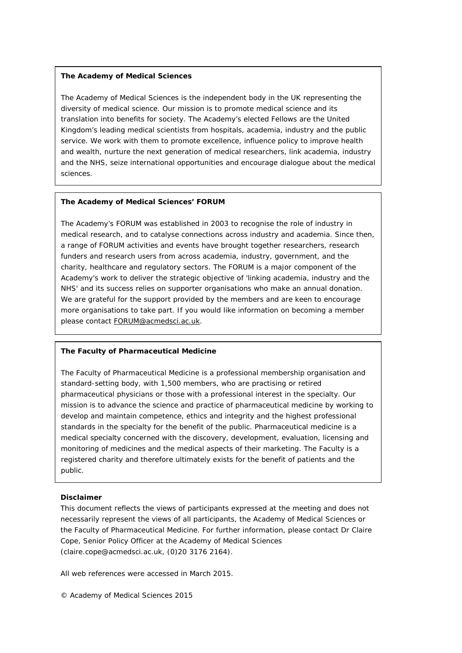#### **The Academy of Medical Sciences**

The Academy of Medical Sciences is the independent body in the UK representing the diversity of medical science. Our mission is to promote medical science and its translation into benefits for society. The Academy's elected Fellows are the United Kingdom's leading medical scientists from hospitals, academia, industry and the public service. We work with them to promote excellence, influence policy to improve health and wealth, nurture the next generation of medical researchers, link academia, industry and the NHS, seize international opportunities and encourage dialogue about the medical sciences.

#### **The Academy of Medical Sciences' FORUM**

The Academy's FORUM was established in 2003 to recognise the role of industry in medical research, and to catalyse connections across industry and academia. Since then, a range of FORUM activities and events have brought together researchers, research funders and research users from across academia, industry, government, and the charity, healthcare and regulatory sectors. The FORUM is a major component of the Academy's work to deliver the strategic objective of 'linking academia, industry and the NHS' and its success relies on supporter organisations who make an annual donation. We are grateful for the support provided by the members and are keen to encourage more organisations to take part. If you would like information on becoming a member please contact [FORUM@acmedsci.ac.uk.](mailto:FORUM@acmedsci.ac.uk)

# **The Faculty of Pharmaceutical Medicine**

The Faculty of Pharmaceutical Medicine is a professional membership organisation and standard-setting body, with 1,500 members, who are practising or retired pharmaceutical physicians or those with a professional interest in the specialty. Our mission is to advance the science and practice of pharmaceutical medicine by working to develop and maintain competence, ethics and integrity and the highest professional standards in the specialty for the benefit of the public. Pharmaceutical medicine is a medical specialty concerned with the discovery, development, evaluation, licensing and monitoring of medicines and the medical aspects of their marketing. The Faculty is a registered charity and therefore ultimately exists for the benefit of patients and the public.

#### **Disclaimer**

This document reflects the views of participants expressed at the meeting and does not necessarily represent the views of all participants, the Academy of Medical Sciences or the Faculty of Pharmaceutical Medicine. For further information, please contact Dr Claire Cope, Senior Policy Officer at the Academy of Medical Sciences (claire.cope@acmedsci.ac.uk, (0)20 3176 2164).

All web references were accessed in March 2015.

© Academy of Medical Sciences 2015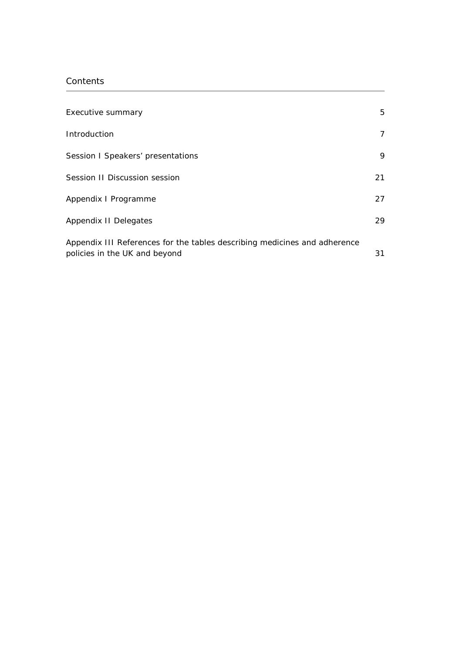# Contents

| Executive summary                                                                                          | 5  |
|------------------------------------------------------------------------------------------------------------|----|
| Introduction                                                                                               | 7  |
| Session I Speakers' presentations                                                                          | 9  |
| Session II Discussion session                                                                              | 21 |
| Appendix I Programme                                                                                       | 27 |
| Appendix II Delegates                                                                                      | 29 |
| Appendix III References for the tables describing medicines and adherence<br>policies in the UK and beyond | 31 |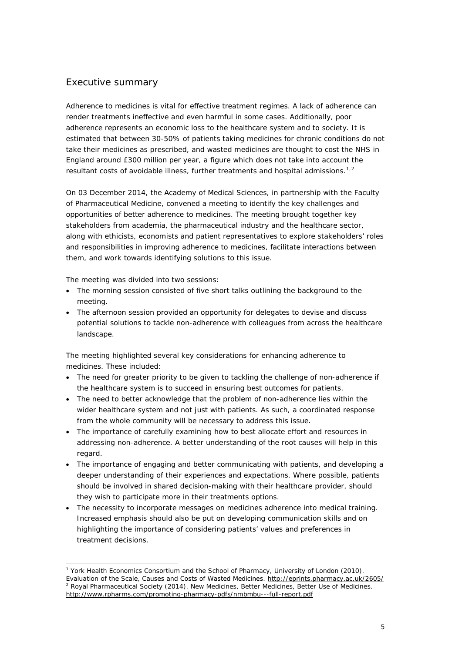## Executive summary

Adherence to medicines is vital for effective treatment regimes. A lack of adherence can render treatments ineffective and even harmful in some cases. Additionally, poor adherence represents an economic loss to the healthcare system and to society. It is estimated that between 30-50% of patients taking medicines for chronic conditions do not take their medicines as prescribed, and wasted medicines are thought to cost the NHS in England around £300 million per year, a figure which does not take into account the resultant costs of avoidable illness, further treatments and hospital admissions.<sup>[1](#page-4-0),[2](#page-4-1)</sup>

On 03 December 2014, the Academy of Medical Sciences, in partnership with the Faculty of Pharmaceutical Medicine, convened a meeting to identify the key challenges and opportunities of better adherence to medicines. The meeting brought together key stakeholders from academia, the pharmaceutical industry and the healthcare sector, along with ethicists, economists and patient representatives to explore stakeholders' roles and responsibilities in improving adherence to medicines, facilitate interactions between them, and work towards identifying solutions to this issue.

The meeting was divided into two sessions:

- The morning session consisted of five short talks outlining the background to the meeting.
- The afternoon session provided an opportunity for delegates to devise and discuss potential solutions to tackle non-adherence with colleagues from across the healthcare landscape.

The meeting highlighted several key considerations for enhancing adherence to medicines. These included:

- The need for greater priority to be given to tackling the challenge of non-adherence if the healthcare system is to succeed in ensuring best outcomes for patients.
- The need to better acknowledge that the problem of non-adherence lies within the wider healthcare system and not just with patients. As such, a coordinated response from the whole community will be necessary to address this issue.
- The importance of carefully examining how to best allocate effort and resources in addressing non-adherence. A better understanding of the root causes will help in this regard.
- The importance of engaging and better communicating with patients, and developing a deeper understanding of their experiences and expectations. Where possible, patients should be involved in shared decision-making with their healthcare provider, should they wish to participate more in their treatments options.
- The necessity to incorporate messages on medicines adherence into medical training. Increased emphasis should also be put on developing communication skills and on highlighting the importance of considering patients' values and preferences in treatment decisions.

<span id="page-4-1"></span><span id="page-4-0"></span><sup>&</sup>lt;sup>1</sup> York Health Economics Consortium and the School of Pharmacy, University of London (2010). *Evaluation of the Scale, Causes and Costs of Wasted Medicines*.<http://eprints.pharmacy.ac.uk/2605/> <sup>2</sup> Royal Pharmaceutical Society (2014). *New Medicines, Better Medicines, Better Use of Medicines*. <http://www.rpharms.com/promoting-pharmacy-pdfs/nmbmbu---full-report.pdf>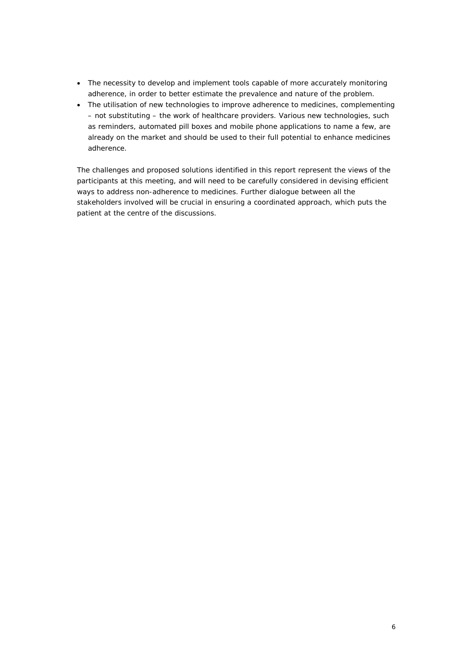- The necessity to develop and implement tools capable of more accurately monitoring adherence, in order to better estimate the prevalence and nature of the problem.
- The utilisation of new technologies to improve adherence to medicines, complementing – not substituting – the work of healthcare providers. Various new technologies, such as reminders, automated pill boxes and mobile phone applications to name a few, are already on the market and should be used to their full potential to enhance medicines adherence.

The challenges and proposed solutions identified in this report represent the views of the participants at this meeting, and will need to be carefully considered in devising efficient ways to address non-adherence to medicines. Further dialogue between all the stakeholders involved will be crucial in ensuring a coordinated approach, which puts the patient at the centre of the discussions.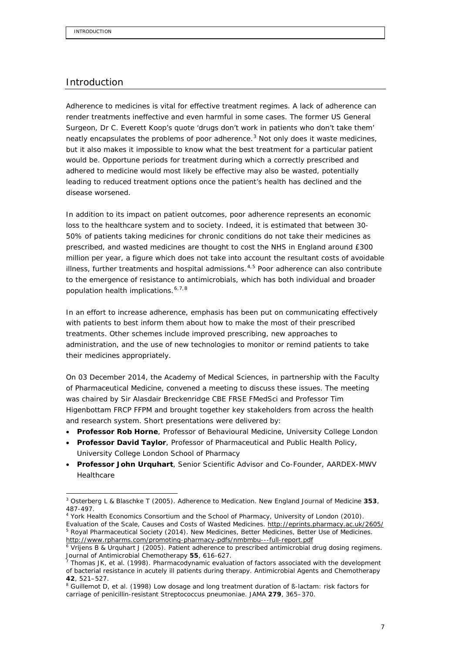## Introduction

Adherence to medicines is vital for effective treatment regimes. A lack of adherence can render treatments ineffective and even harmful in some cases. The former US General Surgeon, Dr C. Everett Koop's quote '*drugs don't work in patients who don't take them*' neatly encapsulates the problems of poor adherence.<sup>[3](#page-6-0)</sup> Not only does it waste medicines, but it also makes it impossible to know what the best treatment for a particular patient would be. Opportune periods for treatment during which a correctly prescribed and adhered to medicine would most likely be effective may also be wasted, potentially leading to reduced treatment options once the patient's health has declined and the disease worsened.

In addition to its impact on patient outcomes, poor adherence represents an economic loss to the healthcare system and to society. Indeed, it is estimated that between 30- 50% of patients taking medicines for chronic conditions do not take their medicines as prescribed, and wasted medicines are thought to cost the NHS in England around £300 million per year, a figure which does not take into account the resultant costs of avoidable illness, further treatments and hospital admissions. $4,5$  $4,5$  Poor adherence can also contribute to the emergence of resistance to antimicrobials, which has both individual and broader population health implications. [6](#page-6-3),[7,](#page-6-4)[8](#page-6-5)

In an effort to increase adherence, emphasis has been put on communicating effectively with patients to best inform them about how to make the most of their prescribed treatments. Other schemes include improved prescribing, new approaches to administration, and the use of new technologies to monitor or remind patients to take their medicines appropriately.

On 03 December 2014, the Academy of Medical Sciences, in partnership with the Faculty of Pharmaceutical Medicine, convened a meeting to discuss these issues. The meeting was chaired by Sir Alasdair Breckenridge CBE FRSE FMedSci and Professor Tim Higenbottam FRCP FFPM and brought together key stakeholders from across the health and research system. Short presentations were delivered by:

- **Professor Rob Horne**, Professor of Behavioural Medicine, University College London
- **Professor David Taylor**, Professor of Pharmaceutical and Public Health Policy, University College London School of Pharmacy
- **Professor John Urquhart**, Senior Scientific Advisor and Co-Founder, AARDEX-MWV Healthcare

<span id="page-6-0"></span> <sup>3</sup> Osterberg L & Blaschke T (2005). *Adherence to Medication*. New England Journal of Medicine **353**, 487-497.

<span id="page-6-2"></span><span id="page-6-1"></span><sup>4</sup> York Health Economics Consortium and the School of Pharmacy, University of London (2010). *Evaluation of the Scale, Causes and Costs of Wasted Medicines*.<http://eprints.pharmacy.ac.uk/2605/> <sup>5</sup> Royal Pharmaceutical Society (2014). *New Medicines, Better Medicines, Better Use of Medicines*. <http://www.rpharms.com/promoting-pharmacy-pdfs/nmbmbu---full-report.pdf>

<span id="page-6-3"></span><sup>6</sup> Vrijens B & Urquhart J (2005). *Patient adherence to prescribed antimicrobial drug dosing regimens*. Journal of Antimicrobial Chemotherapy **55**, 616-627.

<span id="page-6-4"></span><sup>7</sup> Thomas JK, *et al*. (1998). *Pharmacodynamic evaluation of factors associated with the development of bacterial resistance in acutely ill patients during therapy*. Antimicrobial Agents and Chemotherapy **42**, 521–527.

<span id="page-6-5"></span><sup>8</sup> Guillemot D, *et al*. (1998) *Low dosage and long treatment duration of ß-lactam: risk factors for carriage of penicillin-resistant Streptococcus pneumoniae*. JAMA **279**, 365–370.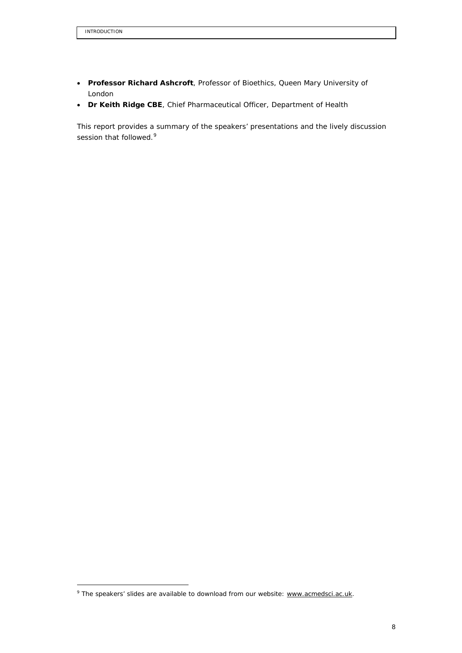- **Professor Richard Ashcroft**, Professor of Bioethics, Queen Mary University of London
- **Dr Keith Ridge CBE**, Chief Pharmaceutical Officer, Department of Health

This report provides a summary of the speakers' presentations and the lively discussion session that followed.<sup>[9](#page-7-0)</sup>

<span id="page-7-0"></span><sup>&</sup>lt;sup>9</sup> The speakers' slides are available to download from our website[: www.acmedsci.ac.uk.](http://www.acmedsci.ac.uk/)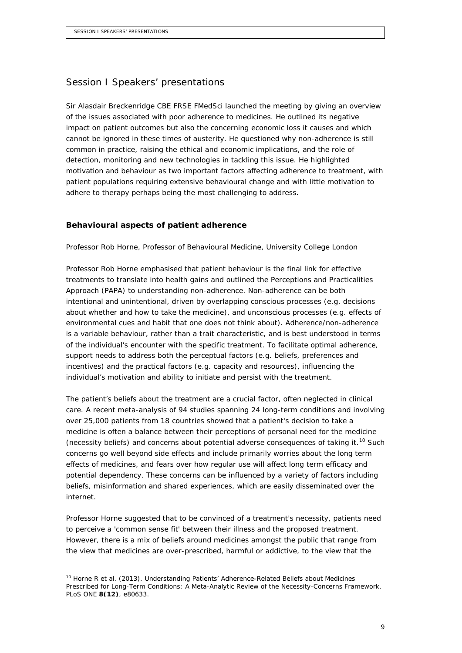## Session I Speakers' presentations

Sir Alasdair Breckenridge CBE FRSE FMedSci launched the meeting by giving an overview of the issues associated with poor adherence to medicines. He outlined its negative impact on patient outcomes but also the concerning economic loss it causes and which cannot be ignored in these times of austerity. He questioned why non-adherence is still common in practice, raising the ethical and economic implications, and the role of detection, monitoring and new technologies in tackling this issue. He highlighted motivation and behaviour as two important factors affecting adherence to treatment, with patient populations requiring extensive behavioural change and with little motivation to adhere to therapy perhaps being the most challenging to address.

#### **Behavioural aspects of patient adherence**

Professor Rob Horne, Professor of Behavioural Medicine, University College London

Professor Rob Horne emphasised that patient behaviour is the final link for effective treatments to translate into health gains and outlined the Perceptions and Practicalities Approach (PAPA) to understanding non-adherence. Non-adherence can be both intentional and unintentional, driven by overlapping conscious processes (e.g. decisions about whether and how to take the medicine), and unconscious processes (e.g. effects of environmental cues and habit that one does not think about). Adherence/non-adherence is a variable behaviour, rather than a trait characteristic, and is best understood in terms of the individual's encounter with the specific treatment. To facilitate optimal adherence, support needs to address both the perceptual factors (e.g. beliefs, preferences and incentives) and the practical factors (e.g. capacity and resources), influencing the individual's motivation and ability to initiate and persist with the treatment.

The patient's beliefs about the treatment are a crucial factor, often neglected in clinical care. A recent meta-analysis of 94 studies spanning 24 long-term conditions and involving over 25,000 patients from 18 countries showed that a patient's decision to take a medicine is often a balance between their perceptions of personal need for the medicine (necessity beliefs) and concerns about potential adverse consequences of taking it.<sup>[10](#page-8-0)</sup> Such concerns go well beyond side effects and include primarily worries about the long term effects of medicines, and fears over how regular use will affect long term efficacy and potential dependency. These concerns can be influenced by a variety of factors including beliefs, misinformation and shared experiences, which are easily disseminated over the internet.

Professor Horne suggested that to be convinced of a treatment's necessity, patients need to perceive a 'common sense fit' between their illness and the proposed treatment. However, there is a mix of beliefs around medicines amongst the public that range from the view that medicines are over-prescribed, harmful or addictive, to the view that the

<span id="page-8-0"></span> <sup>10</sup> Horne R *et al*. (2013). *Understanding Patients' Adherence-Related Beliefs about Medicines Prescribed for Long-Term Conditions: A Meta-Analytic Review of the Necessity-Concerns Framework*. PLoS ONE **8(12)**, e80633.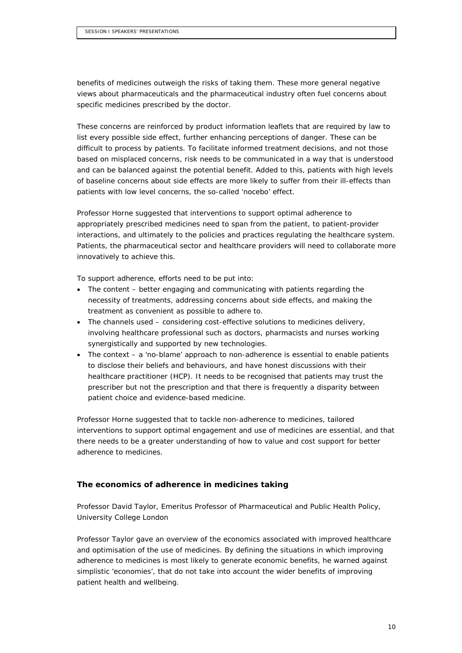benefits of medicines outweigh the risks of taking them. These more general negative views about pharmaceuticals and the pharmaceutical industry often fuel concerns about specific medicines prescribed by the doctor.

These concerns are reinforced by product information leaflets that are required by law to list every possible side effect, further enhancing perceptions of danger. These can be difficult to process by patients. To facilitate informed treatment decisions, and not those based on misplaced concerns, risk needs to be communicated in a way that is understood and can be balanced against the potential benefit. Added to this, patients with high levels of baseline concerns about side effects are more likely to suffer from their ill-effects than patients with low level concerns, the so-called 'nocebo' effect.

Professor Horne suggested that interventions to support optimal adherence to appropriately prescribed medicines need to span from the patient, to patient-provider interactions, and ultimately to the policies and practices regulating the healthcare system. Patients, the pharmaceutical sector and healthcare providers will need to collaborate more innovatively to achieve this.

To support adherence, efforts need to be put into:

- The content better engaging and communicating with patients regarding the necessity of treatments, addressing concerns about side effects, and making the treatment as convenient as possible to adhere to.
- The channels used considering cost-effective solutions to medicines delivery, involving healthcare professional such as doctors, pharmacists and nurses working synergistically and supported by new technologies.
- The context a 'no-blame' approach to non-adherence is essential to enable patients to disclose their beliefs and behaviours, and have honest discussions with their healthcare practitioner (HCP). It needs to be recognised that patients may trust the prescriber but not the prescription and that there is frequently a disparity between patient choice and evidence-based medicine.

Professor Horne suggested that to tackle non-adherence to medicines, tailored interventions to support optimal engagement and use of medicines are essential, and that there needs to be a greater understanding of how to value and cost support for better adherence to medicines.

## **The economics of adherence in medicines taking**

Professor David Taylor, Emeritus Professor of Pharmaceutical and Public Health Policy, University College London

Professor Taylor gave an overview of the economics associated with improved healthcare and optimisation of the use of medicines. By defining the situations in which improving adherence to medicines is most likely to generate economic benefits, he warned against simplistic 'economies', that do not take into account the wider benefits of improving patient health and wellbeing.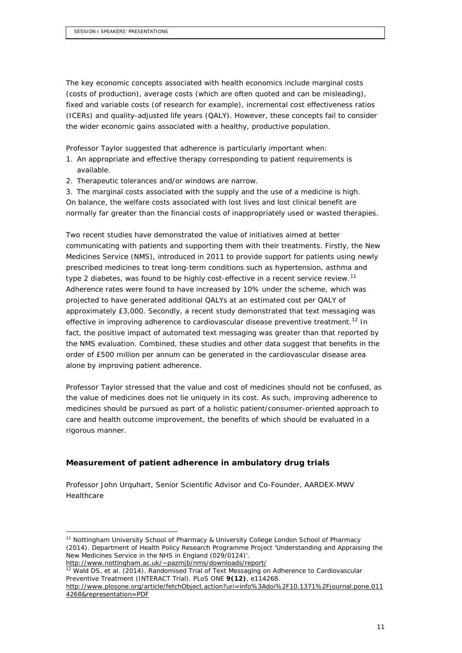The key economic concepts associated with health economics include marginal costs (costs of production), average costs (which are often quoted and can be misleading), fixed and variable costs (of research for example), incremental cost effectiveness ratios (ICERs) and quality-adjusted life years (QALY). However, these concepts fail to consider the wider economic gains associated with a healthy, productive population.

Professor Taylor suggested that adherence is particularly important when:

- 1. An appropriate and effective therapy corresponding to patient requirements is available.
- 2. Therapeutic tolerances and/or windows are narrow.

3. The marginal costs associated with the supply and the use of a medicine is high. On balance, the welfare costs associated with lost lives and lost clinical benefit are normally far greater than the financial costs of inappropriately used or wasted therapies.

Two recent studies have demonstrated the value of initiatives aimed at better communicating with patients and supporting them with their treatments. Firstly, the New Medicines Service (NMS), introduced in 2011 to provide support for patients using newly prescribed medicines to treat long-term conditions such as hypertension, asthma and type 2 diabetes, was found to be highly cost-effective in a recent service review.<sup>[11](#page-10-0)</sup> Adherence rates were found to have increased by 10% under the scheme, which was projected to have generated additional QALYs at an estimated cost per QALY of approximately £3,000. Secondly, a recent study demonstrated that text messaging was effective in improving adherence to cardiovascular disease preventive treatment.<sup>[12](#page-10-1)</sup> In fact, the positive impact of automated text messaging was greater than that reported by the NMS evaluation. Combined, these studies and other data suggest that benefits in the order of £500 million per annum can be generated in the cardiovascular disease area alone by improving patient adherence.

Professor Taylor stressed that the value and cost of medicines should not be confused, as the value of medicines does not lie uniquely in its cost. As such, improving adherence to medicines should be pursued as part of a holistic patient/consumer-oriented approach to care and health outcome improvement, the benefits of which should be evaluated in a rigorous manner.

## **Measurement of patient adherence in ambulatory drug trials**

Professor John Urquhart, Senior Scientific Advisor and Co-Founder, AARDEX-MWV Healthcare

```
12 Wald DS, et al. (2014). Randomised Trial of Text Messaging on Adherence to Cardiovascular 
Preventive Treatment (INTERACT Trial). PLoS ONE 9(12), e114268.
```
<span id="page-10-0"></span><sup>&</sup>lt;sup>11</sup> Nottingham University School of Pharmacy & University College London School of Pharmacy (2014). *Department of Health Policy Research Programme Project 'Understanding and Appraising the New Medicines Service in the NHS in England (029/0124)'*. <http://www.nottingham.ac.uk/~pazmjb/nms/downloads/report/>

[http://www.plosone.org/article/fetchObject.action?uri=info%3Adoi%2F10.1371%2Fjournal.pone.011](http://www.plosone.org/article/fetchObject.action?uri=info%253Adoi%252F10.1371%252Fjournal.pone.0114268&representation=PDF) [4268&representation=PDF](http://www.plosone.org/article/fetchObject.action?uri=info%253Adoi%252F10.1371%252Fjournal.pone.0114268&representation=PDF)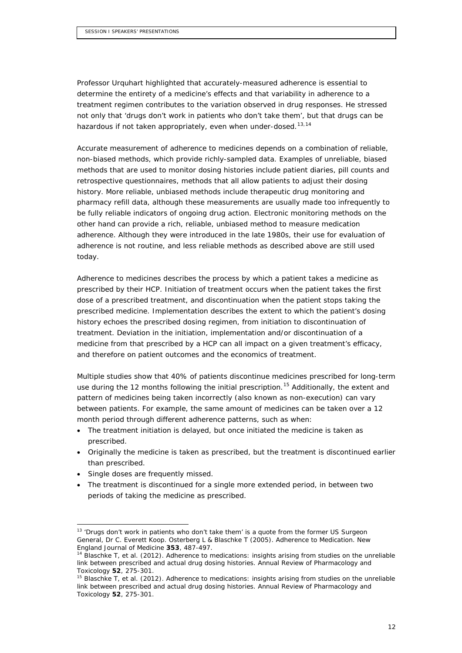Professor Urquhart highlighted that accurately-measured adherence is essential to determine the entirety of a medicine's effects and that variability in adherence to a treatment regimen contributes to the variation observed in drug responses. He stressed not only that *'drugs don't work in patients who don't take them',* but that drugs can be hazardous if not taken appropriately, even when under-dosed.<sup>[13](#page-11-0),[14](#page-11-1)</sup>

Accurate measurement of adherence to medicines depends on a combination of reliable, non-biased methods, which provide richly-sampled data. Examples of unreliable, biased methods that are used to monitor dosing histories include patient diaries, pill counts and retrospective questionnaires, methods that all allow patients to adjust their dosing history. More reliable, unbiased methods include therapeutic drug monitoring and pharmacy refill data, although these measurements are usually made too infrequently to be fully reliable indicators of ongoing drug action. Electronic monitoring methods on the other hand can provide a rich, reliable, unbiased method to measure medication adherence. Although they were introduced in the late 1980s, their use for evaluation of adherence is not routine, and less reliable methods as described above are still used today.

Adherence to medicines describes the process by which a patient takes a medicine as prescribed by their HCP. Initiation of treatment occurs when the patient takes the first dose of a prescribed treatment, and discontinuation when the patient stops taking the prescribed medicine. Implementation describes the extent to which the patient's dosing history echoes the prescribed dosing regimen, from initiation to discontinuation of treatment. Deviation in the initiation, implementation and/or discontinuation of a medicine from that prescribed by a HCP can all impact on a given treatment's efficacy, and therefore on patient outcomes and the economics of treatment.

Multiple studies show that 40% of patients discontinue medicines prescribed for long-term use during the 12 months following the initial prescription.<sup>[15](#page-11-2)</sup> Additionally, the extent and pattern of medicines being taken incorrectly (also known as non-execution) can vary between patients. For example, the same amount of medicines can be taken over a 12 month period through different adherence patterns, such as when:

- The treatment initiation is delayed, but once initiated the medicine is taken as prescribed.
- Originally the medicine is taken as prescribed, but the treatment is discontinued earlier than prescribed.
- Single doses are frequently missed.
- The treatment is discontinued for a single more extended period, in between two periods of taking the medicine as prescribed.

<span id="page-11-0"></span> <sup>13</sup> '*Drugs don't work in patients who don't take them*' is a quote from the former US Surgeon General, Dr C. Everett Koop. Osterberg L & Blaschke T (2005). *Adherence to Medication*. New England Journal of Medicine **353**, 487-497.

<span id="page-11-1"></span><sup>14</sup> Blaschke T, *et al.* (2012). A*dherence to medications: insights arising from studies on the unreliable link between prescribed and actual drug dosing histories*. Annual Review of Pharmacology and Toxicology **52**, 275-301.

<span id="page-11-2"></span><sup>15</sup> Blaschke T, *et al.* (2012). *Adherence to medications: insights arising from studies on the unreliable link between prescribed and actual drug dosing histories*. Annual Review of Pharmacology and Toxicology **52**, 275-301.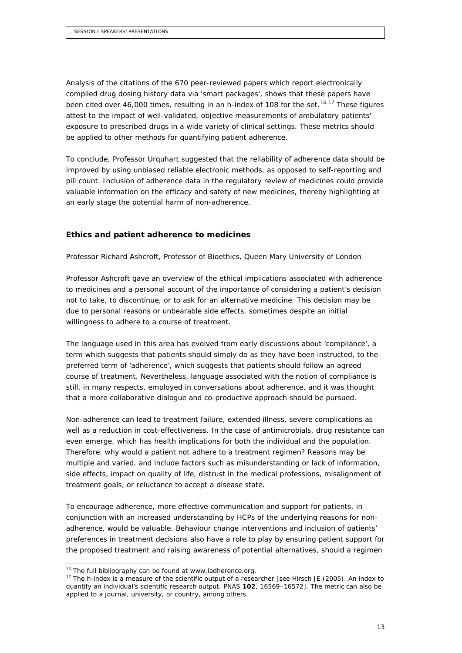Analysis of the citations of the 670 peer-reviewed papers which report electronically compiled drug dosing history data via 'smart packages', shows that these papers have been cited over 46,000 times, resulting in an *h*-index of 108 for the set.<sup>[16,](#page-12-0)[17](#page-12-1)</sup> These figures attest to the impact of well-validated, objective measurements of ambulatory patients' exposure to prescribed drugs in a wide variety of clinical settings. These metrics should be applied to other methods for quantifying patient adherence.

To conclude, Professor Urquhart suggested that the reliability of adherence data should be improved by using unbiased reliable electronic methods, as opposed to self-reporting and pill count. Inclusion of adherence data in the regulatory review of medicines could provide valuable information on the efficacy and safety of new medicines, thereby highlighting at an early stage the potential harm of non-adherence.

## **Ethics and patient adherence to medicines**

Professor Richard Ashcroft, Professor of Bioethics, Queen Mary University of London

Professor Ashcroft gave an overview of the ethical implications associated with adherence to medicines and a personal account of the importance of considering a patient's decision not to take, to discontinue, or to ask for an alternative medicine. This decision may be due to personal reasons or unbearable side effects, sometimes despite an initial willingness to adhere to a course of treatment.

The language used in this area has evolved from early discussions about 'compliance', a term which suggests that patients should simply do as they have been instructed, to the preferred term of 'adherence', which suggests that patients should follow an *agreed* course of treatment. Nevertheless, language associated with the notion of compliance is still, in many respects, employed in conversations about adherence, and it was thought that a more collaborative dialogue and co-productive approach should be pursued.

Non-adherence can lead to treatment failure, extended illness, severe complications as well as a reduction in cost-effectiveness. In the case of antimicrobials, drug resistance can even emerge, which has health implications for both the individual and the population. Therefore, why would a patient not adhere to a treatment regimen? Reasons may be multiple and varied, and include factors such as misunderstanding or lack of information, side effects, impact on quality of life, distrust in the medical professions, misalignment of treatment goals, or reluctance to accept a disease state.

To encourage adherence, more effective communication and support for patients, in conjunction with an increased understanding by HCPs of the underlying reasons for nonadherence, would be valuable. Behaviour change interventions and inclusion of patients' preferences in treatment decisions also have a role to play by ensuring patient support for the proposed treatment and raising awareness of potential alternatives, should a regimen

<span id="page-12-1"></span><span id="page-12-0"></span><sup>&</sup>lt;sup>16</sup> The full bibliography can be found at <u>www.iadherence.org</u>.<br><sup>17</sup> The *h*-index is a measure of the scientific output of a researcher [see Hirsch JE (2005). *An index to quantify an individual's scientific research output*. PNAS **102**, 16569–16572]. The metric can also be applied to a journal, university, or country, among others.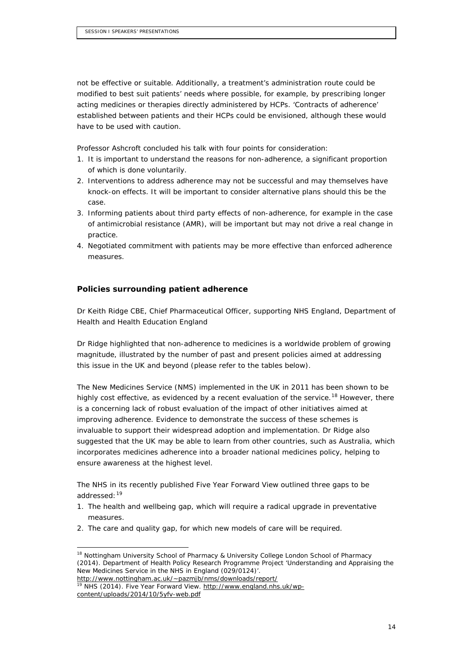not be effective or suitable. Additionally, a treatment's administration route could be modified to best suit patients' needs where possible, for example, by prescribing longer acting medicines or therapies directly administered by HCPs. 'Contracts of adherence' established between patients and their HCPs could be envisioned, although these would have to be used with caution.

Professor Ashcroft concluded his talk with four points for consideration:

- 1. It is important to understand the reasons for non-adherence, a significant proportion of which is done voluntarily.
- 2. Interventions to address adherence may not be successful and may themselves have knock-on effects. It will be important to consider alternative plans should this be the case.
- 3. Informing patients about third party effects of non-adherence, for example in the case of antimicrobial resistance (AMR), will be important but may not drive a real change in practice.
- 4. Negotiated commitment with patients may be more effective than enforced adherence measures.

### **Policies surrounding patient adherence**

Dr Keith Ridge CBE, Chief Pharmaceutical Officer, supporting NHS England, Department of Health and Health Education England

Dr Ridge highlighted that non-adherence to medicines is a worldwide problem of growing magnitude, illustrated by the number of past and present policies aimed at addressing this issue in the UK and beyond (please refer to the tables below).

The New Medicines Service (NMS) implemented in the UK in 2011 has been shown to be highly cost effective, as evidenced by a recent evaluation of the service.<sup>[18](#page-13-0)</sup> However, there is a concerning lack of robust evaluation of the impact of other initiatives aimed at improving adherence. Evidence to demonstrate the success of these schemes is invaluable to support their widespread adoption and implementation. Dr Ridge also suggested that the UK may be able to learn from other countries, such as Australia, which incorporates medicines adherence into a broader national medicines policy, helping to ensure awareness at the highest level.

The NHS in its recently published *Five Year Forward View* outlined three gaps to be addressed: [19](#page-13-1)

- 1. The health and wellbeing gap, which will require a radical upgrade in preventative measures.
- 2. The care and quality gap, for which new models of care will be required.

<span id="page-13-0"></span><sup>&</sup>lt;sup>18</sup> Nottingham University School of Pharmacy & University College London School of Pharmacy (2014). *Department of Health Policy Research Programme Project 'Understanding and Appraising the New Medicines Service in the NHS in England (029/0124)'*. <http://www.nottingham.ac.uk/~pazmjb/nms/downloads/report/>

<span id="page-13-1"></span><sup>&</sup>lt;sup>19</sup> NHS (2014). *Five Year Forward View*. [http://www.england.nhs.uk/wp](http://www.england.nhs.uk/wp-content/uploads/2014/10/5yfv-web.pdf)[content/uploads/2014/10/5yfv-web.pdf](http://www.england.nhs.uk/wp-content/uploads/2014/10/5yfv-web.pdf)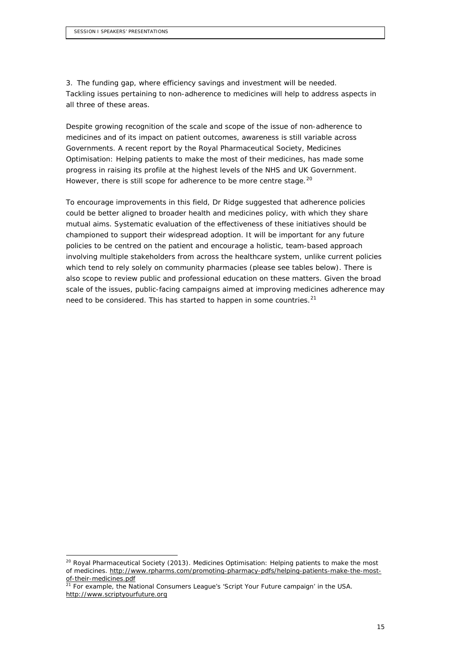3. The funding gap, where efficiency savings and investment will be needed. Tackling issues pertaining to non-adherence to medicines will help to address aspects in all three of these areas.

Despite growing recognition of the scale and scope of the issue of non-adherence to medicines and of its impact on patient outcomes, awareness is still variable across Governments. A recent report by the Royal Pharmaceutical Society, *Medicines Optimisation: Helping patients to make the most of their medicines*, has made some progress in raising its profile at the highest levels of the NHS and UK Government. However, there is still scope for adherence to be more centre stage.<sup>[20](#page-14-0)</sup>

To encourage improvements in this field, Dr Ridge suggested that adherence policies could be better aligned to broader health and medicines policy, with which they share mutual aims. Systematic evaluation of the effectiveness of these initiatives should be championed to support their widespread adoption. It will be important for any future policies to be centred on the patient and encourage a holistic, team-based approach involving multiple stakeholders from across the healthcare system, unlike current policies which tend to rely solely on community pharmacies (please see tables below). There is also scope to review public and professional education on these matters. Given the broad scale of the issues, public-facing campaigns aimed at improving medicines adherence may need to be considered. This has started to happen in some countries.<sup>[21](#page-14-1)</sup>

<span id="page-14-0"></span> <sup>20</sup> Royal Pharmaceutical Society (2013). *Medicines Optimisation: Helping patients to make the most of medicines*. [http://www.rpharms.com/promoting-pharmacy-pdfs/helping-patients-make-the-most-](http://www.rpharms.com/promoting-pharmacy-pdfs/helping-patients-make-the-most-of-their-medicines.pdf)

<span id="page-14-1"></span>of-their-medicines.pdf<br><sup>21</sup> For example, the National Consumers League's '*Script Your Future campaign*' in the USA. [http://www.scriptyourfuture.org](http://www.scriptyourfuture.org/)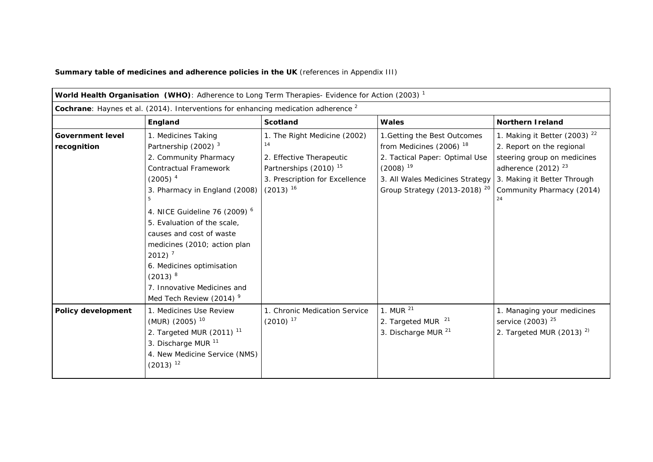**Summary table of medicines and adherence policies in the UK** (references in Appendix III)

| World Health Organisation (WHO): Adherence to Long Term Therapies- Evidence for Action (2003) <sup>1</sup> |                                                                                                                                                                                                                                                                                                                                                                                                                               |                                                                                                                                                        |                                                                                                                                                                                                       |                                                                                                                                                                                    |
|------------------------------------------------------------------------------------------------------------|-------------------------------------------------------------------------------------------------------------------------------------------------------------------------------------------------------------------------------------------------------------------------------------------------------------------------------------------------------------------------------------------------------------------------------|--------------------------------------------------------------------------------------------------------------------------------------------------------|-------------------------------------------------------------------------------------------------------------------------------------------------------------------------------------------------------|------------------------------------------------------------------------------------------------------------------------------------------------------------------------------------|
| Cochrane: Haynes et al. (2014). Interventions for enhancing medication adherence <sup>2</sup>              |                                                                                                                                                                                                                                                                                                                                                                                                                               |                                                                                                                                                        |                                                                                                                                                                                                       |                                                                                                                                                                                    |
|                                                                                                            | England                                                                                                                                                                                                                                                                                                                                                                                                                       | <b>Scotland</b>                                                                                                                                        | <b>Wales</b>                                                                                                                                                                                          | <b>Northern I reland</b>                                                                                                                                                           |
| <b>Government level</b><br>recognition                                                                     | 1. Medicines Taking<br>Partnership (2002) <sup>3</sup><br>2. Community Pharmacy<br><b>Contractual Framework</b><br>$(2005)^4$<br>3. Pharmacy in England (2008)<br>5<br>4. NICE Guideline 76 (2009) 6<br>5. Evaluation of the scale,<br>causes and cost of waste<br>medicines (2010; action plan<br>2012) $7$<br>6. Medicines optimisation<br>$(2013)^8$<br>7. Innovative Medicines and<br>Med Tech Review (2014) <sup>9</sup> | 1. The Right Medicine (2002)<br>14<br>2. Effective Therapeutic<br>Partnerships (2010) <sup>15</sup><br>3. Prescription for Excellence<br>$(2013)^{16}$ | 1. Getting the Best Outcomes<br>from Medicines (2006) <sup>18</sup><br>2. Tactical Paper: Optimal Use<br>$(2008)^{19}$<br>3. All Wales Medicines Strategy<br>Group Strategy (2013-2018) <sup>20</sup> | 1. Making it Better (2003) $22$<br>2. Report on the regional<br>steering group on medicines<br>adherence $(2012)^{23}$<br>3. Making it Better Through<br>Community Pharmacy (2014) |
| Policy development                                                                                         | 1. Medicines Use Review<br>(MUR) (2005) <sup>10</sup><br>2. Targeted MUR $(2011)^{11}$<br>3. Discharge MUR <sup>11</sup><br>4. New Medicine Service (NMS)<br>$(2013)^{12}$                                                                                                                                                                                                                                                    | 1. Chronic Medication Service<br>$(2010)^{17}$                                                                                                         | 1. MUR $^{21}$<br>2. Targeted MUR <sup>21</sup><br>3. Discharge MUR <sup>21</sup>                                                                                                                     | 1. Managing your medicines<br>service (2003) <sup>25</sup><br>2. Targeted MUR (2013) $2$ )                                                                                         |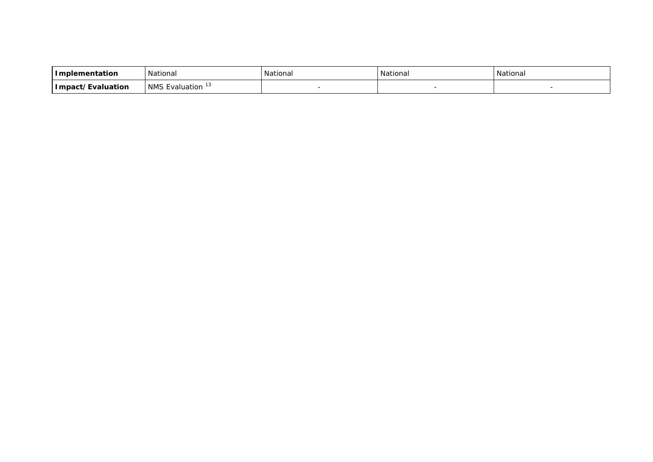| Implementation    | National                                             | National | National | National |
|-------------------|------------------------------------------------------|----------|----------|----------|
| Impact/Evaluation | $\overline{\phantom{0}}$<br><b>NMS</b><br>Evaluation |          |          |          |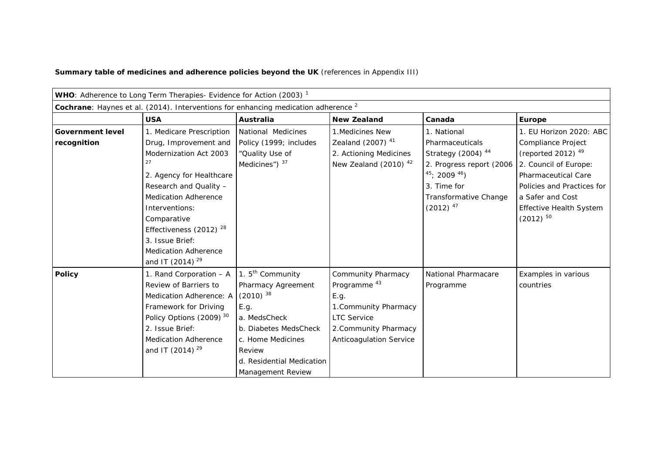**Summary table of medicines and adherence policies beyond the UK** (references in Appendix III)

|                                                                                               | WHO: Adherence to Long Term Therapies- Evidence for Action (2003) <sup>1</sup>                                                                                                                                                         |                                                                                                                                                                            |                                                                                                                                                                 |                                                                                                                                                             |                                                                                                                                                                                |
|-----------------------------------------------------------------------------------------------|----------------------------------------------------------------------------------------------------------------------------------------------------------------------------------------------------------------------------------------|----------------------------------------------------------------------------------------------------------------------------------------------------------------------------|-----------------------------------------------------------------------------------------------------------------------------------------------------------------|-------------------------------------------------------------------------------------------------------------------------------------------------------------|--------------------------------------------------------------------------------------------------------------------------------------------------------------------------------|
| Cochrane: Haynes et al. (2014). Interventions for enhancing medication adherence <sup>2</sup> |                                                                                                                                                                                                                                        |                                                                                                                                                                            |                                                                                                                                                                 |                                                                                                                                                             |                                                                                                                                                                                |
|                                                                                               | <b>USA</b>                                                                                                                                                                                                                             | Australia                                                                                                                                                                  | <b>New Zealand</b>                                                                                                                                              | Canada                                                                                                                                                      | Europe                                                                                                                                                                         |
| <b>Government level</b>                                                                       | 1. Medicare Prescription                                                                                                                                                                                                               | National Medicines                                                                                                                                                         | 1. Medicines New                                                                                                                                                | 1. National                                                                                                                                                 | 1. EU Horizon 2020: ABC                                                                                                                                                        |
| recognition                                                                                   | Drug, Improvement and<br>Modernization Act 2003<br>27<br>2. Agency for Healthcare<br>Research and Quality -<br><b>Medication Adherence</b><br>Interventions:                                                                           | Policy (1999; includes<br>"Quality Use of<br>Medicines") 37                                                                                                                | Zealand (2007) <sup>41</sup><br>2. Actioning Medicines<br>New Zealand (2010) $42$                                                                               | Pharmaceuticals<br>Strategy (2004) <sup>44</sup><br>2. Progress report (2006<br>$45$ ; 2009 $46$ )<br>3. Time for<br>Transformative Change<br>$(2012)^{47}$ | Compliance Project<br>(reported 2012) $49$<br>2. Council of Europe:<br>Pharmaceutical Care<br>Policies and Practices for<br>a Safer and Cost<br><b>Effective Health System</b> |
|                                                                                               | Comparative<br>Effectiveness (2012) $28$<br>3. Issue Brief:<br><b>Medication Adherence</b><br>and IT (2014) <sup>29</sup>                                                                                                              |                                                                                                                                                                            |                                                                                                                                                                 |                                                                                                                                                             | $(2012)^{50}$                                                                                                                                                                  |
| <b>Policy</b>                                                                                 | 1. Rand Corporation - A<br>Review of Barriers to<br>Medication Adherence: A (2010) 38<br>Framework for Driving<br>Policy Options (2009) <sup>30</sup><br>2. Issue Brief:<br><b>Medication Adherence</b><br>and IT (2014) <sup>29</sup> | 1. $5th$ Community<br>Pharmacy Agreement<br>E.g.<br>a. MedsCheck<br>b. Diabetes MedsCheck<br>c. Home Medicines<br>Review<br>d. Residential Medication<br>Management Review | Community Pharmacy<br>Programme <sup>43</sup><br>E.g.<br>1. Community Pharmacy<br><b>LTC Service</b><br>2. Community Pharmacy<br><b>Anticoagulation Service</b> | National Pharmacare<br>Programme                                                                                                                            | Examples in various<br>countries                                                                                                                                               |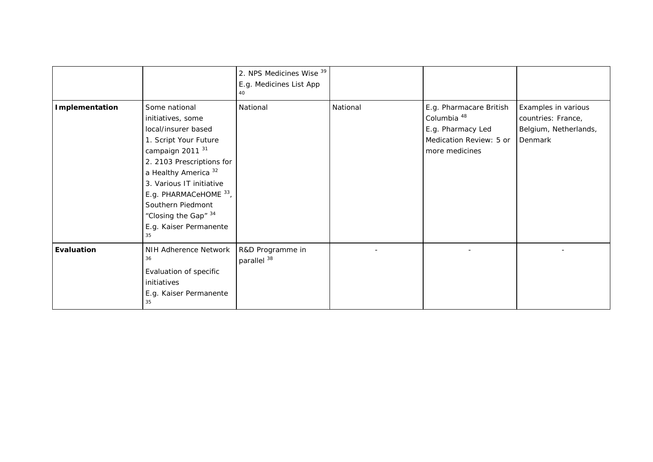|                   |                                                                                                                                                                                                                                                                                                                     | 2. NPS Medicines Wise 39<br>E.g. Medicines List App<br>40 |          |                                                                                                                     |                                                                               |
|-------------------|---------------------------------------------------------------------------------------------------------------------------------------------------------------------------------------------------------------------------------------------------------------------------------------------------------------------|-----------------------------------------------------------|----------|---------------------------------------------------------------------------------------------------------------------|-------------------------------------------------------------------------------|
| Implementation    | Some national<br>initiatives, some<br>local/insurer based<br>1. Script Your Future<br>campaign 2011 <sup>31</sup><br>2. 2103 Prescriptions for<br>a Healthy America <sup>32</sup><br>3. Various IT initiative<br>E.g. PHARMACeHOME 33,<br>Southern Piedmont<br>"Closing the Gap" 34<br>E.g. Kaiser Permanente<br>35 | National                                                  | National | E.g. Pharmacare British<br>Columbia <sup>48</sup><br>E.g. Pharmacy Led<br>Medication Review: 5 or<br>more medicines | Examples in various<br>countries: France,<br>Belgium, Netherlands,<br>Denmark |
| <b>Evaluation</b> | NIH Adherence Network<br>36<br>Evaluation of specific<br>initiatives<br>E.g. Kaiser Permanente<br>35                                                                                                                                                                                                                | R&D Programme in<br>parallel <sup>38</sup>                |          |                                                                                                                     |                                                                               |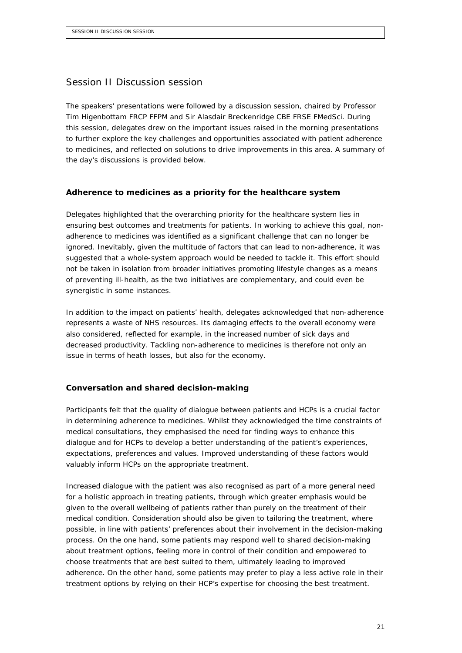## Session II Discussion session

The speakers' presentations were followed by a discussion session, chaired by Professor Tim Higenbottam FRCP FFPM and Sir Alasdair Breckenridge CBE FRSE FMedSci. During this session, delegates drew on the important issues raised in the morning presentations to further explore the key challenges and opportunities associated with patient adherence to medicines, and reflected on solutions to drive improvements in this area. A summary of the day's discussions is provided below.

#### **Adherence to medicines as a priority for the healthcare system**

Delegates highlighted that the overarching priority for the healthcare system lies in ensuring best outcomes and treatments for patients. In working to achieve this goal, nonadherence to medicines was identified as a significant challenge that can no longer be ignored. Inevitably, given the multitude of factors that can lead to non-adherence, it was suggested that a whole-system approach would be needed to tackle it. This effort should not be taken in isolation from broader initiatives promoting lifestyle changes as a means of preventing ill-health, as the two initiatives are complementary, and could even be synergistic in some instances.

In addition to the impact on patients' health, delegates acknowledged that non-adherence represents a waste of NHS resources. Its damaging effects to the overall economy were also considered, reflected for example, in the increased number of sick days and decreased productivity. Tackling non-adherence to medicines is therefore not only an issue in terms of heath losses, but also for the economy.

#### **Conversation and shared decision-making**

Participants felt that the quality of dialogue between patients and HCPs is a crucial factor in determining adherence to medicines. Whilst they acknowledged the time constraints of medical consultations, they emphasised the need for finding ways to enhance this dialogue and for HCPs to develop a better understanding of the patient's experiences, expectations, preferences and values. Improved understanding of these factors would valuably inform HCPs on the appropriate treatment.

Increased dialogue with the patient was also recognised as part of a more general need for a holistic approach in treating patients, through which greater emphasis would be given to the overall wellbeing of patients rather than purely on the treatment of their medical condition. Consideration should also be given to tailoring the treatment, where possible, in line with patients' preferences about their involvement in the decision-making process. On the one hand, some patients may respond well to shared decision-making about treatment options, feeling more in control of their condition and empowered to choose treatments that are best suited to them, ultimately leading to improved adherence. On the other hand, some patients may prefer to play a less active role in their treatment options by relying on their HCP's expertise for choosing the best treatment.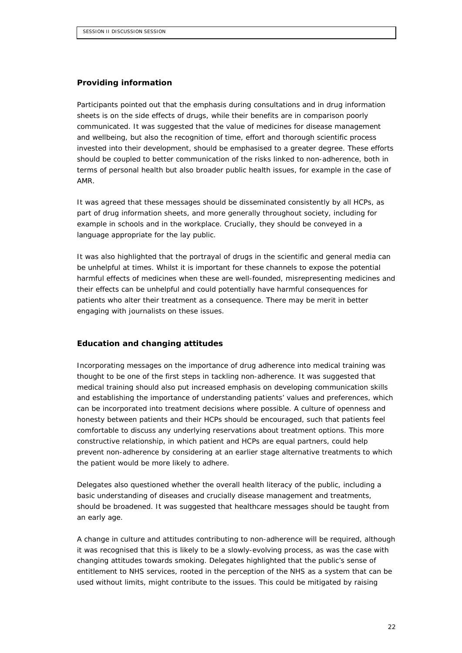#### **Providing information**

Participants pointed out that the emphasis during consultations and in drug information sheets is on the side effects of drugs, while their benefits are in comparison poorly communicated. It was suggested that the value of medicines for disease management and wellbeing, but also the recognition of time, effort and thorough scientific process invested into their development, should be emphasised to a greater degree. These efforts should be coupled to better communication of the risks linked to non-adherence, both in terms of personal health but also broader public health issues, for example in the case of AMR.

It was agreed that these messages should be disseminated consistently by all HCPs, as part of drug information sheets, and more generally throughout society, including for example in schools and in the workplace. Crucially, they should be conveyed in a language appropriate for the lay public.

It was also highlighted that the portrayal of drugs in the scientific and general media can be unhelpful at times. Whilst it is important for these channels to expose the potential harmful effects of medicines when these are well-founded, misrepresenting medicines and their effects can be unhelpful and could potentially have harmful consequences for patients who alter their treatment as a consequence. There may be merit in better engaging with journalists on these issues.

#### **Education and changing attitudes**

Incorporating messages on the importance of drug adherence into medical training was thought to be one of the first steps in tackling non-adherence. It was suggested that medical training should also put increased emphasis on developing communication skills and establishing the importance of understanding patients' values and preferences, which can be incorporated into treatment decisions where possible. A culture of openness and honesty between patients and their HCPs should be encouraged, such that patients feel comfortable to discuss any underlying reservations about treatment options. This more constructive relationship, in which patient and HCPs are equal partners, could help prevent non-adherence by considering at an earlier stage alternative treatments to which the patient would be more likely to adhere.

Delegates also questioned whether the overall health literacy of the public, including a basic understanding of diseases and crucially disease management and treatments, should be broadened. It was suggested that healthcare messages should be taught from an early age.

A change in culture and attitudes contributing to non-adherence will be required, although it was recognised that this is likely to be a slowly-evolving process, as was the case with changing attitudes towards smoking. Delegates highlighted that the public's sense of entitlement to NHS services, rooted in the perception of the NHS as a system that can be used without limits, might contribute to the issues. This could be mitigated by raising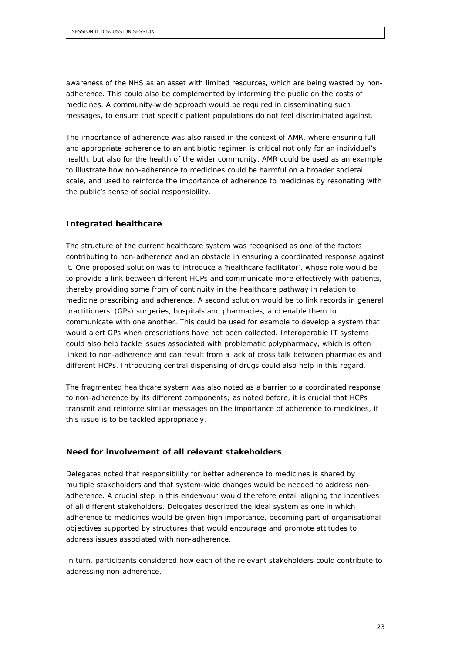awareness of the NHS as an asset with limited resources, which are being wasted by nonadherence. This could also be complemented by informing the public on the costs of medicines. A community-wide approach would be required in disseminating such messages, to ensure that specific patient populations do not feel discriminated against.

The importance of adherence was also raised in the context of AMR, where ensuring full and appropriate adherence to an antibiotic regimen is critical not only for an individual's health, but also for the health of the wider community. AMR could be used as an example to illustrate how non-adherence to medicines could be harmful on a broader societal scale, and used to reinforce the importance of adherence to medicines by resonating with the public's sense of social responsibility.

## **Integrated healthcare**

The structure of the current healthcare system was recognised as one of the factors contributing to non-adherence and an obstacle in ensuring a coordinated response against it. One proposed solution was to introduce a 'healthcare facilitator', whose role would be to provide a link between different HCPs and communicate more effectively with patients, thereby providing some from of continuity in the healthcare pathway in relation to medicine prescribing and adherence. A second solution would be to link records in general practitioners' (GPs) surgeries, hospitals and pharmacies, and enable them to communicate with one another. This could be used for example to develop a system that would alert GPs when prescriptions have not been collected. Interoperable IT systems could also help tackle issues associated with problematic polypharmacy, which is often linked to non-adherence and can result from a lack of cross talk between pharmacies and different HCPs. Introducing central dispensing of drugs could also help in this regard.

The fragmented healthcare system was also noted as a barrier to a coordinated response to non-adherence by its different components; as noted before, it is crucial that HCPs transmit and reinforce similar messages on the importance of adherence to medicines, if this issue is to be tackled appropriately.

#### **Need for involvement of all relevant stakeholders**

Delegates noted that responsibility for better adherence to medicines is shared by multiple stakeholders and that system-wide changes would be needed to address nonadherence. A crucial step in this endeavour would therefore entail aligning the incentives of all different stakeholders. Delegates described the ideal system as one in which adherence to medicines would be given high importance, becoming part of organisational objectives supported by structures that would encourage and promote attitudes to address issues associated with non-adherence.

In turn, participants considered how each of the relevant stakeholders could contribute to addressing non-adherence.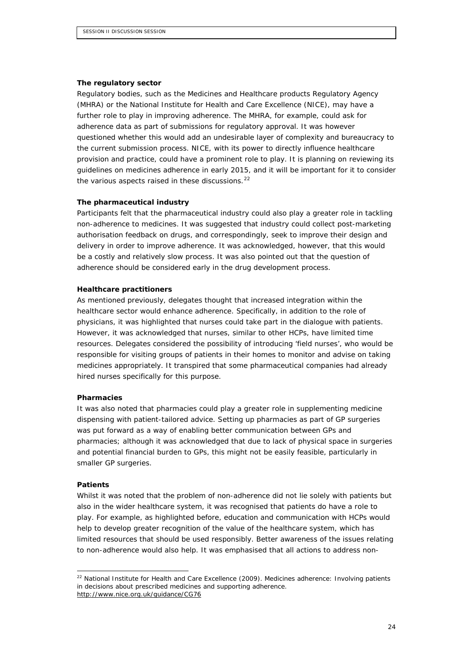#### *The regulatory sector*

Regulatory bodies, such as the Medicines and Healthcare products Regulatory Agency (MHRA) or the National Institute for Health and Care Excellence (NICE), may have a further role to play in improving adherence. The MHRA, for example, could ask for adherence data as part of submissions for regulatory approval. It was however questioned whether this would add an undesirable layer of complexity and bureaucracy to the current submission process. NICE, with its power to directly influence healthcare provision and practice, could have a prominent role to play. It is planning on reviewing its guidelines on medicines adherence in early 2015, and it will be important for it to consider the various aspects raised in these discussions. $^{22}$  $^{22}$  $^{22}$ 

#### *The pharmaceutical industry*

Participants felt that the pharmaceutical industry could also play a greater role in tackling non-adherence to medicines. It was suggested that industry could collect post-marketing authorisation feedback on drugs, and correspondingly, seek to improve their design and delivery in order to improve adherence. It was acknowledged, however, that this would be a costly and relatively slow process. It was also pointed out that the question of adherence should be considered early in the drug development process.

#### *Healthcare practitioners*

As mentioned previously, delegates thought that increased integration within the healthcare sector would enhance adherence. Specifically, in addition to the role of physicians, it was highlighted that nurses could take part in the dialogue with patients. However, it was acknowledged that nurses, similar to other HCPs, have limited time resources. Delegates considered the possibility of introducing 'field nurses', who would be responsible for visiting groups of patients in their homes to monitor and advise on taking medicines appropriately. It transpired that some pharmaceutical companies had already hired nurses specifically for this purpose.

#### *Pharmacies*

It was also noted that pharmacies could play a greater role in supplementing medicine dispensing with patient-tailored advice. Setting up pharmacies as part of GP surgeries was put forward as a way of enabling better communication between GPs and pharmacies; although it was acknowledged that due to lack of physical space in surgeries and potential financial burden to GPs, this might not be easily feasible, particularly in smaller GP surgeries.

#### *Patients*

Whilst it was noted that the problem of non-adherence did not lie solely with patients but also in the wider healthcare system, it was recognised that patients do have a role to play. For example, as highlighted before, education and communication with HCPs would help to develop greater recognition of the value of the healthcare system, which has limited resources that should be used responsibly. Better awareness of the issues relating to non-adherence would also help. It was emphasised that all actions to address non-

<span id="page-23-0"></span> <sup>22</sup> National Institute for Health and Care Excellence (2009). *Medicines adherence: Involving patients in decisions about prescribed medicines and supporting adherence*. <http://www.nice.org.uk/guidance/CG76>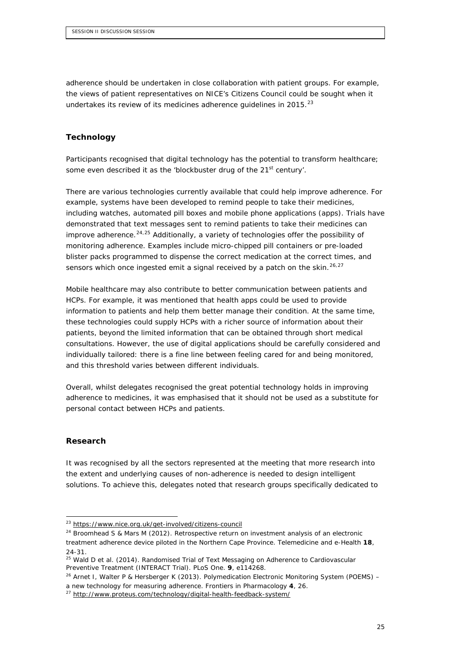adherence should be undertaken in close collaboration with patient groups. For example, the views of patient representatives on NICE's Citizens Council could be sought when it undertakes its review of its medicines adherence guidelines in 2015. $^{23}$  $^{23}$  $^{23}$ 

## **Technology**

Participants recognised that digital technology has the potential to transform healthcare; some even described it as the 'blockbuster drug of the 21<sup>st</sup> century'.

There are various technologies currently available that could help improve adherence. For example, systems have been developed to remind people to take their medicines, including watches, automated pill boxes and mobile phone applications (apps). Trials have demonstrated that text messages sent to remind patients to take their medicines can improve adherence.<sup>[24,](#page-24-1)[25](#page-24-2)</sup> Additionally, a variety of technologies offer the possibility of monitoring adherence. Examples include micro-chipped pill containers or pre-loaded blister packs programmed to dispense the correct medication at the correct times, and sensors which once ingested emit a signal received by a patch on the skin.<sup>[26,](#page-24-3)[27](#page-24-4)</sup>

Mobile healthcare may also contribute to better communication between patients and HCPs. For example, it was mentioned that health apps could be used to provide information to patients and help them better manage their condition. At the same time, these technologies could supply HCPs with a richer source of information about their patients, beyond the limited information that can be obtained through short medical consultations. However, the use of digital applications should be carefully considered and individually tailored: there is a fine line between feeling cared for and being monitored, and this threshold varies between different individuals.

Overall, whilst delegates recognised the great potential technology holds in improving adherence to medicines, it was emphasised that it should not be used as a substitute for personal contact between HCPs and patients.

#### **Research**

It was recognised by all the sectors represented at the meeting that more research into the extent and underlying causes of non-adherence is needed to design intelligent solutions. To achieve this, delegates noted that research groups specifically dedicated to

<span id="page-24-1"></span><span id="page-24-0"></span> <sup>23</sup> <https://www.nice.org.uk/get-involved/citizens-council>

<sup>24</sup> Broomhead S & Mars M (2012). *Retrospective return on investment analysis of an electronic treatment adherence device piloted in the Northern Cape Province.* Telemedicine and e-Health **18**, 24-31.

<span id="page-24-2"></span><sup>25</sup> Wald D *et al*. (2014). *Randomised Trial of Text Messaging on Adherence to Cardiovascular Preventive Treatment (INTERACT Trial)*. PLoS One. **9**, e114268.

<span id="page-24-3"></span><sup>26</sup> Arnet I, Walter P & Hersberger K (2013). *Polymedication Electronic Monitoring System (POEMS) –*

*a new technology for measuring adherence.* Frontiers in Pharmacology **4**, 26.

<span id="page-24-4"></span><sup>&</sup>lt;sup>27</sup> <http://www.proteus.com/technology/digital-health-feedback-system/>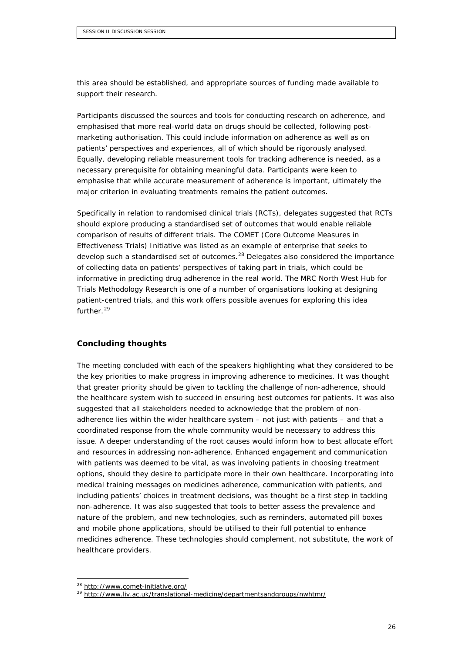this area should be established, and appropriate sources of funding made available to support their research.

Participants discussed the sources and tools for conducting research on adherence, and emphasised that more real-world data on drugs should be collected, following postmarketing authorisation. This could include information on adherence as well as on patients' perspectives and experiences, all of which should be rigorously analysed. Equally, developing reliable measurement tools for tracking adherence is needed, as a necessary prerequisite for obtaining meaningful data. Participants were keen to emphasise that while accurate measurement of adherence is important, ultimately the major criterion in evaluating treatments remains the patient outcomes.

Specifically in relation to randomised clinical trials (RCTs), delegates suggested that RCTs should explore producing a standardised set of outcomes that would enable reliable comparison of results of different trials. The COMET (Core Outcome Measures in Effectiveness Trials) Initiative was listed as an example of enterprise that seeks to develop such a standardised set of outcomes.<sup>[28](#page-25-0)</sup> Delegates also considered the importance of collecting data on patients' perspectives of taking part in trials, which could be informative in predicting drug adherence in the real world. The MRC North West Hub for Trials Methodology Research is one of a number of organisations looking at designing patient-centred trials, and this work offers possible avenues for exploring this idea further.<sup>[29](#page-25-1)</sup>

#### **Concluding thoughts**

The meeting concluded with each of the speakers highlighting what they considered to be the key priorities to make progress in improving adherence to medicines. It was thought that greater priority should be given to tackling the challenge of non-adherence, should the healthcare system wish to succeed in ensuring best outcomes for patients. It was also suggested that all stakeholders needed to acknowledge that the problem of nonadherence lies within the wider healthcare system – not just with patients – and that a coordinated response from the whole community would be necessary to address this issue. A deeper understanding of the root causes would inform how to best allocate effort and resources in addressing non-adherence. Enhanced engagement and communication with patients was deemed to be vital, as was involving patients in choosing treatment options, should they desire to participate more in their own healthcare. Incorporating into medical training messages on medicines adherence, communication with patients, and including patients' choices in treatment decisions, was thought be a first step in tackling non-adherence. It was also suggested that tools to better assess the prevalence and nature of the problem, and new technologies, such as reminders, automated pill boxes and mobile phone applications, should be utilised to their full potential to enhance medicines adherence. These technologies should complement, not substitute, the work of healthcare providers.

<span id="page-25-0"></span> <sup>28</sup> <http://www.comet-initiative.org/>

<span id="page-25-1"></span><sup>&</sup>lt;sup>29</sup> <http://www.liv.ac.uk/translational-medicine/departmentsandgroups/nwhtmr/>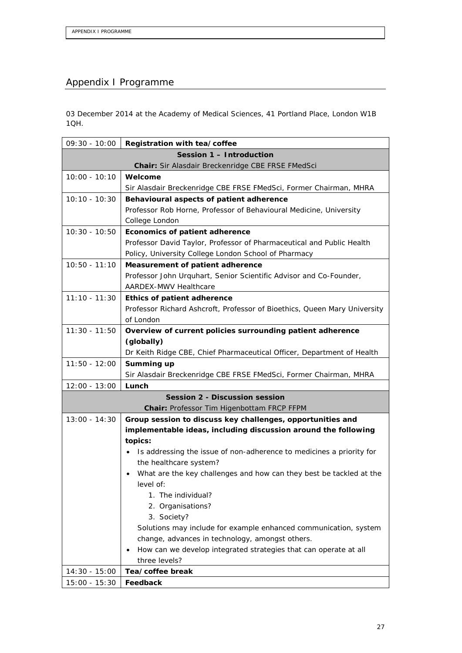# Appendix I Programme

03 December 2014 at the Academy of Medical Sciences, 41 Portland Place, London W1B 1QH.

| $09:30 - 10:00$                                   | Registration with tea/coffee                                                     |  |  |  |
|---------------------------------------------------|----------------------------------------------------------------------------------|--|--|--|
| Session 1 - Introduction                          |                                                                                  |  |  |  |
| Chair: Sir Alasdair Breckenridge CBE FRSE FMedSci |                                                                                  |  |  |  |
| $10:00 - 10:10$                                   | Welcome                                                                          |  |  |  |
|                                                   | Sir Alasdair Breckenridge CBE FRSE FMedSci, Former Chairman, MHRA                |  |  |  |
| $10:10 - 10:30$                                   | Behavioural aspects of patient adherence                                         |  |  |  |
|                                                   | Professor Rob Horne, Professor of Behavioural Medicine, University               |  |  |  |
|                                                   | College London                                                                   |  |  |  |
| $10:30 - 10:50$                                   | Economics of patient adherence                                                   |  |  |  |
|                                                   | Professor David Taylor, Professor of Pharmaceutical and Public Health            |  |  |  |
|                                                   | Policy, University College London School of Pharmacy                             |  |  |  |
| $10:50 - 11:10$                                   | Measurement of patient adherence                                                 |  |  |  |
|                                                   | Professor John Urquhart, Senior Scientific Advisor and Co-Founder,               |  |  |  |
|                                                   | AARDEX-MWV Healthcare                                                            |  |  |  |
| $11:10 - 11:30$                                   | Ethics of patient adherence                                                      |  |  |  |
|                                                   | Professor Richard Ashcroft, Professor of Bioethics, Queen Mary University        |  |  |  |
|                                                   | of London                                                                        |  |  |  |
| $11:30 - 11:50$                                   | Overview of current policies surrounding patient adherence                       |  |  |  |
|                                                   | (globally)                                                                       |  |  |  |
|                                                   | Dr Keith Ridge CBE, Chief Pharmaceutical Officer, Department of Health           |  |  |  |
| $11:50 - 12:00$                                   | Summing up                                                                       |  |  |  |
|                                                   | Sir Alasdair Breckenridge CBE FRSE FMedSci, Former Chairman, MHRA                |  |  |  |
| $12:00 - 13:00$                                   | Lunch                                                                            |  |  |  |
| <b>Session 2 - Discussion session</b>             |                                                                                  |  |  |  |
|                                                   | Chair: Professor Tim Higenbottam FRCP FFPM                                       |  |  |  |
| $13:00 - 14:30$                                   | Group session to discuss key challenges, opportunities and                       |  |  |  |
|                                                   | implementable ideas, including discussion around the following                   |  |  |  |
|                                                   | topics:<br>Is addressing the issue of non-adherence to medicines a priority for  |  |  |  |
|                                                   | the healthcare system?                                                           |  |  |  |
|                                                   | What are the key challenges and how can they best be tackled at the<br>$\bullet$ |  |  |  |
|                                                   | level of:                                                                        |  |  |  |
|                                                   | 1. The individual?                                                               |  |  |  |
|                                                   | 2. Organisations?                                                                |  |  |  |
|                                                   | 3. Society?                                                                      |  |  |  |
|                                                   | Solutions may include for example enhanced communication, system                 |  |  |  |
|                                                   | change, advances in technology, amongst others.                                  |  |  |  |
|                                                   | How can we develop integrated strategies that can operate at all                 |  |  |  |
|                                                   | three levels?                                                                    |  |  |  |
| $14:30 - 15:00$                                   | Tea/coffee break                                                                 |  |  |  |
| $15:00 - 15:30$                                   | Feedback                                                                         |  |  |  |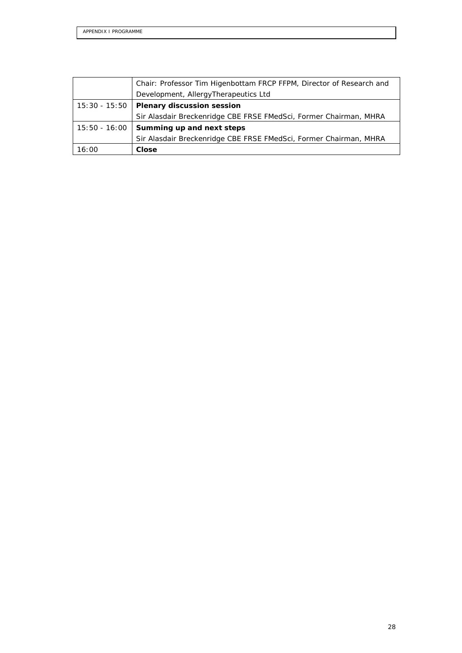|               | Chair: Professor Tim Higenbottam FRCP FFPM, Director of Research and |
|---------------|----------------------------------------------------------------------|
|               | Development, AllergyTherapeutics Ltd                                 |
| 15:30 - 15:50 | <b>Plenary discussion session</b>                                    |
|               | Sir Alasdair Breckenridge CBE FRSE FMedSci, Former Chairman, MHRA    |
| 15:50 - 16:00 | Summing up and next steps                                            |
|               | Sir Alasdair Breckenridge CBE FRSE FMedSci, Former Chairman, MHRA    |
| 16:00         | Close                                                                |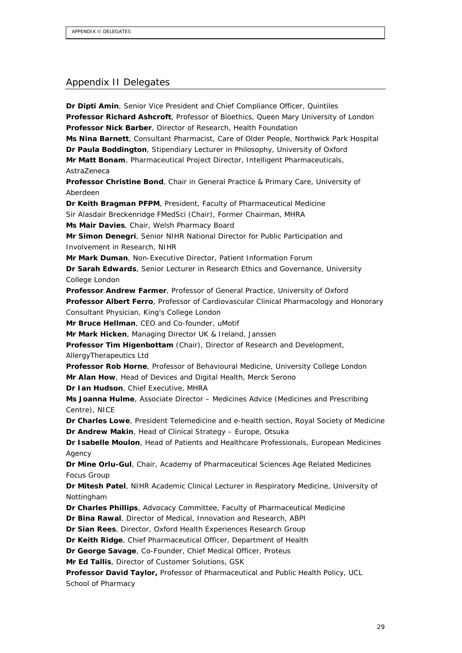# Appendix II Delegates

**Dr Dipti Amin**, Senior Vice President and Chief Compliance Officer, Quintiles **Professor Richard Ashcroft**, Professor of Bioethics, Queen Mary University of London **Professor Nick Barber**, Director of Research, Health Foundation **Ms Nina Barnett**, Consultant Pharmacist, Care of Older People, Northwick Park Hospital **Dr Paula Boddington**, Stipendiary Lecturer in Philosophy, University of Oxford **Mr Matt Bonam**, Pharmaceutical Project Director, Intelligent Pharmaceuticals, AstraZeneca **Professor Christine Bond**, Chair in General Practice & Primary Care, University of Aberdeen **Dr Keith Bragman PFPM**, President, Faculty of Pharmaceutical Medicine Sir Alasdair Breckenridge FMedSci (Chair), Former Chairman, MHRA **Ms Mair Davies**, Chair, Welsh Pharmacy Board **Mr Simon Denegri**, Senior NIHR National Director for Public Participation and Involvement in Research, NIHR **Mr Mark Duman**, Non-Executive Director, Patient Information Forum **Dr Sarah Edwards**, Senior Lecturer in Research Ethics and Governance, University College London **Professor Andrew Farmer**, Professor of General Practice, University of Oxford **Professor Albert Ferro**, Professor of Cardiovascular Clinical Pharmacology and Honorary Consultant Physician, King's College London **Mr Bruce Hellman**, CEO and Co-founder, uMotif **Mr Mark Hicken**, Managing Director UK & Ireland, Janssen **Professor Tim Higenbottam** (Chair), Director of Research and Development, AllergyTherapeutics Ltd **Professor Rob Horne**, Professor of Behavioural Medicine, University College London **Mr Alan How**, Head of Devices and Digital Health, Merck Serono **Dr Ian Hudson**, Chief Executive, MHRA **Ms Joanna Hulme**, Associate Director – Medicines Advice (Medicines and Prescribing Centre), NICE **Dr Charles Lowe**, President Telemedicine and e-health section, Royal Society of Medicine **Dr Andrew Makin**, Head of Clinical Strategy – Europe, Otsuka **Dr Isabelle Moulon**, Head of Patients and Healthcare Professionals, European Medicines Agency **Dr Mine Orlu-Gul**, Chair, Academy of Pharmaceutical Sciences Age Related Medicines Focus Group **Dr Mitesh Patel**, NIHR Academic Clinical Lecturer in Respiratory Medicine, University of Nottingham **Dr Charles Phillips**, Advocacy Committee, Faculty of Pharmaceutical Medicine **Dr Bina Rawal**, Director of Medical, Innovation and Research, ABPI **Dr Sian Rees**, Director, Oxford Health Experiences Research Group **Dr Keith Ridge**, Chief Pharmaceutical Officer, Department of Health **Dr George Savage**, Co-Founder, Chief Medical Officer, Proteus **Mr Ed Tallis**, Director of Customer Solutions, GSK **Professor David Taylor,** Professor of Pharmaceutical and Public Health Policy, UCL

School of Pharmacy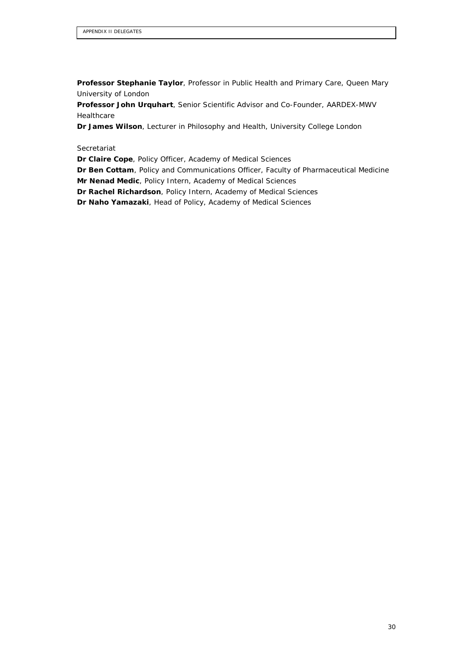**Professor Stephanie Taylor**, Professor in Public Health and Primary Care, Queen Mary University of London

**Professor John Urquhart**, Senior Scientific Advisor and Co-Founder, AARDEX-MWV Healthcare

**Dr James Wilson**, Lecturer in Philosophy and Health, University College London

**Secretariat** 

**Dr Claire Cope**, Policy Officer, Academy of Medical Sciences

**Dr Ben Cottam**, Policy and Communications Officer, Faculty of Pharmaceutical Medicine

**Mr Nenad Medic**, Policy Intern, Academy of Medical Sciences

**Dr Rachel Richardson**, Policy Intern, Academy of Medical Sciences

**Dr Naho Yamazaki**, Head of Policy, Academy of Medical Sciences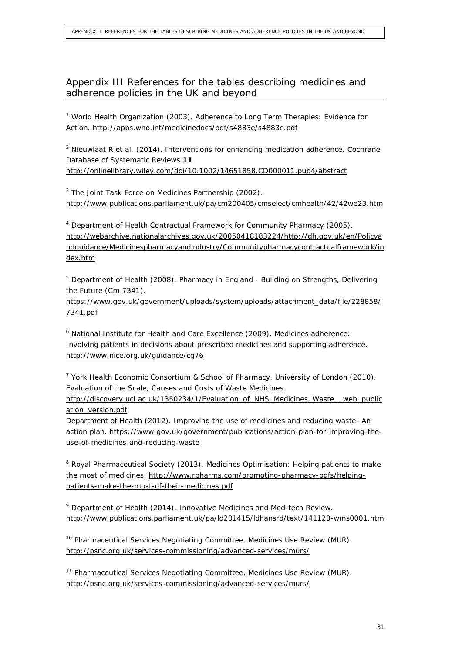# Appendix III References for the tables describing medicines and adherence policies in the UK and beyond

<sup>1</sup> World Health Organization (2003). *Adherence to Long Term Therapies: Evidence for Action*.<http://apps.who.int/medicinedocs/pdf/s4883e/s4883e.pdf>

<sup>2</sup> Nieuwlaat R *et al*. (2014). *Interventions for enhancing medication adherence*. Cochrane Database of Systematic Reviews **11** <http://onlinelibrary.wiley.com/doi/10.1002/14651858.CD000011.pub4/abstract>

 $3$  The Joint Task Force on Medicines Partnership (2002). <http://www.publications.parliament.uk/pa/cm200405/cmselect/cmhealth/42/42we23.htm>

<sup>4</sup> Department of Health Contractual Framework for Community Pharmacy (2005). [http://webarchive.nationalarchives.gov.uk/20050418183224/http://dh.gov.uk/en/Policya](http://webarchive.nationalarchives.gov.uk/20050418183224/http:/dh.gov.uk/en/Policyandguidance/Medicinespharmacyandindustry/Communitypharmacycontractualframework/index.htm) [ndguidance/Medicinespharmacyandindustry/Communitypharmacycontractualframework/in](http://webarchive.nationalarchives.gov.uk/20050418183224/http:/dh.gov.uk/en/Policyandguidance/Medicinespharmacyandindustry/Communitypharmacycontractualframework/index.htm) [dex.htm](http://webarchive.nationalarchives.gov.uk/20050418183224/http:/dh.gov.uk/en/Policyandguidance/Medicinespharmacyandindustry/Communitypharmacycontractualframework/index.htm)

<sup>5</sup> Department of Health (2008). *Pharmacy in England - Building on Strengths, Delivering the Future (Cm 7341)*.

[https://www.gov.uk/government/uploads/system/uploads/attachment\\_data/file/228858/](https://www.gov.uk/government/uploads/system/uploads/attachment_data/file/228858/7341.pdf) [7341.pdf](https://www.gov.uk/government/uploads/system/uploads/attachment_data/file/228858/7341.pdf)

<sup>6</sup> National Institute for Health and Care Excellence (2009). *Medicines adherence: Involving patients in decisions about prescribed medicines and supporting adherence*. <http://www.nice.org.uk/guidance/cg76>

 $7$  York Health Economic Consortium & School of Pharmacy, University of London (2010). *Evaluation of the Scale, Causes and Costs of Waste Medicines.*

[http://discovery.ucl.ac.uk/1350234/1/Evaluation\\_of\\_NHS\\_Medicines\\_Waste\\_\\_web\\_public](http://discovery.ucl.ac.uk/1350234/1/Evaluation_of_NHS_Medicines_Waste__web_publication_version.pdf) [ation\\_version.pdf](http://discovery.ucl.ac.uk/1350234/1/Evaluation_of_NHS_Medicines_Waste__web_publication_version.pdf)

Department of Health (2012). *Improving the use of medicines and reducing waste: An action plan*. [https://www.gov.uk/government/publications/action-plan-for-improving-the](https://www.gov.uk/government/publications/action-plan-for-improving-the-use-of-medicines-and-reducing-waste)[use-of-medicines-and-reducing-waste](https://www.gov.uk/government/publications/action-plan-for-improving-the-use-of-medicines-and-reducing-waste)

<sup>8</sup> Royal Pharmaceutical Society (2013). *Medicines Optimisation: Helping patients to make the most of medicines*. [http://www.rpharms.com/promoting-pharmacy-pdfs/helping](http://www.rpharms.com/promoting-pharmacy-pdfs/helping-patients-make-the-most-of-their-medicines.pdf)[patients-make-the-most-of-their-medicines.pdf](http://www.rpharms.com/promoting-pharmacy-pdfs/helping-patients-make-the-most-of-their-medicines.pdf)

<sup>9</sup> Department of Health (2014). *Innovative Medicines and Med-tech Review*. <http://www.publications.parliament.uk/pa/ld201415/ldhansrd/text/141120-wms0001.htm>

<sup>10</sup> Pharmaceutical Services Negotiating Committee. *Medicines Use Review (MUR)*. <http://psnc.org.uk/services-commissioning/advanced-services/murs/>

<sup>11</sup> Pharmaceutical Services Negotiating Committee. *Medicines Use Review (MUR)*. <http://psnc.org.uk/services-commissioning/advanced-services/murs/>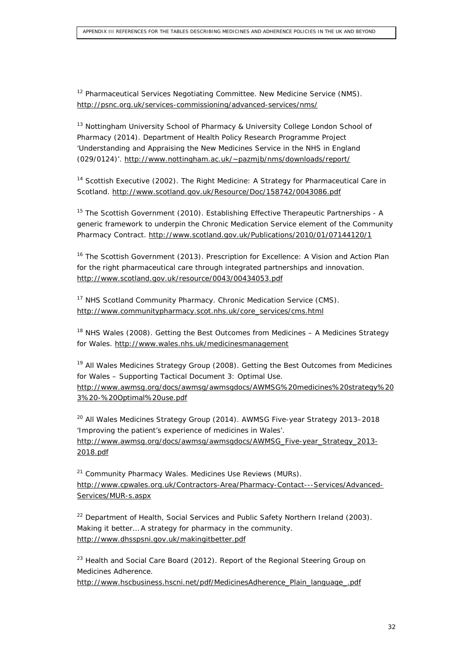<sup>12</sup> Pharmaceutical Services Negotiating Committee. *New Medicine Service (NMS)*. <http://psnc.org.uk/services-commissioning/advanced-services/nms/>

<sup>13</sup> Nottingham University School of Pharmacy & University College London School of Pharmacy (2014). *Department of Health Policy Research Programme Project 'Understanding and Appraising the New Medicines Service in the NHS in England (029/0124)'*.<http://www.nottingham.ac.uk/~pazmjb/nms/downloads/report/>

<sup>14</sup> Scottish Executive (2002). *The Right Medicine: A Strategy for Pharmaceutical Care in Scotland*.<http://www.scotland.gov.uk/Resource/Doc/158742/0043086.pdf>

<sup>15</sup> The Scottish Government (2010). *Establishing Effective Therapeutic Partnerships - A generic framework to underpin the Chronic Medication Service element of the Community Pharmacy Contract*.<http://www.scotland.gov.uk/Publications/2010/01/07144120/1>

<sup>16</sup> The Scottish Government (2013). *Prescription for Excellence: A Vision and Action Plan for the right pharmaceutical care through integrated partnerships and innovation.* <http://www.scotland.gov.uk/resource/0043/00434053.pdf>

<sup>17</sup> NHS Scotland Community Pharmacy. *Chronic Medication Service (CMS)*. [http://www.communitypharmacy.scot.nhs.uk/core\\_services/cms.html](http://www.communitypharmacy.scot.nhs.uk/core_services/cms.html)

<sup>18</sup> NHS Wales (2008). *Getting the Best Outcomes from Medicines – A Medicines Strategy for Wales*.<http://www.wales.nhs.uk/medicinesmanagement>

<sup>19</sup> All Wales Medicines Strategy Group (2008). *Getting the Best Outcomes from Medicines for Wales – Supporting Tactical Document 3: Optimal Use*. [http://www.awmsg.org/docs/awmsg/awmsgdocs/AWMSG%20medicines%20strategy%20](http://www.awmsg.org/docs/awmsg/awmsgdocs/AWMSG%20medicines%20strategy%203%20-%20Optimal%20use.pdf) [3%20-%20Optimal%20use.pdf](http://www.awmsg.org/docs/awmsg/awmsgdocs/AWMSG%20medicines%20strategy%203%20-%20Optimal%20use.pdf)

<sup>20</sup> All Wales Medicines Strategy Group (2014). *AWMSG Five-year Strategy 2013–2018 'Improving the patient's experience of medicines in Wales'*. [http://www.awmsg.org/docs/awmsg/awmsgdocs/AWMSG\\_Five-year\\_Strategy\\_2013-](http://www.awmsg.org/docs/awmsg/awmsgdocs/AWMSG_Five-year_Strategy_2013-2018.pdf) [2018.pdf](http://www.awmsg.org/docs/awmsg/awmsgdocs/AWMSG_Five-year_Strategy_2013-2018.pdf)

<sup>21</sup> Community Pharmacy Wales. *Medicines Use Reviews (MURs)*. [http://www.cpwales.org.uk/Contractors-Area/Pharmacy-Contact---Services/Advanced-](http://www.cpwales.org.uk/Contractors-Area/Pharmacy-Contact---Services/Advanced-Services/MUR-s.aspx)[Services/MUR-s.aspx](http://www.cpwales.org.uk/Contractors-Area/Pharmacy-Contact---Services/Advanced-Services/MUR-s.aspx)

<sup>22</sup> Department of Health, Social Services and Public Safety Northern Ireland (2003). *Making it better… A strategy for pharmacy in the community*. <http://www.dhsspsni.gov.uk/makingitbetter.pdf>

<sup>23</sup> Health and Social Care Board (2012). *Report of the Regional Steering Group on Medicines Adherence*.

[http://www.hscbusiness.hscni.net/pdf/MedicinesAdherence\\_Plain\\_language\\_.pdf](http://www.hscbusiness.hscni.net/pdf/MedicinesAdherence_Plain_language_.pdf)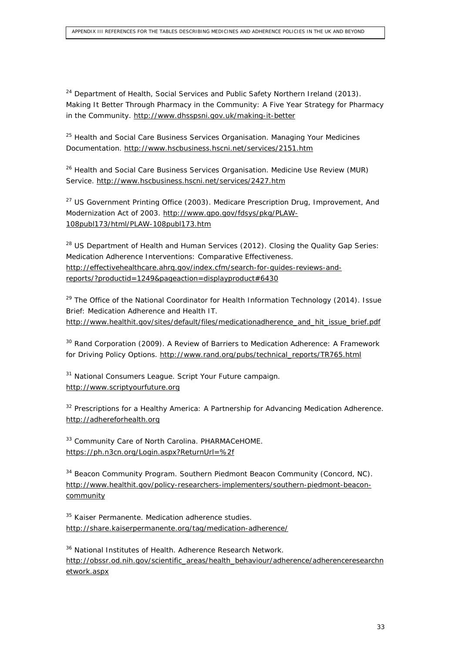$24$  Department of Health, Social Services and Public Safety Northern Ireland (2013). *Making It Better Through Pharmacy in the Community: A Five Year Strategy for Pharmacy in the Community*.<http://www.dhsspsni.gov.uk/making-it-better>

<sup>25</sup> Health and Social Care Business Services Organisation. *Managing Your Medicines Documentation*.<http://www.hscbusiness.hscni.net/services/2151.htm>

<sup>26</sup> Health and Social Care Business Services Organisation. *Medicine Use Review (MUR) Service*.<http://www.hscbusiness.hscni.net/services/2427.htm>

<sup>27</sup> US Government Printing Office (2003). *Medicare Prescription Drug, Improvement, And Modernization Act of 2003*. [http://www.gpo.gov/fdsys/pkg/PLAW-](http://www.gpo.gov/fdsys/pkg/PLAW-108publ173/html/PLAW-108publ173.htm)[108publ173/html/PLAW-108publ173.htm](http://www.gpo.gov/fdsys/pkg/PLAW-108publ173/html/PLAW-108publ173.htm)

<sup>28</sup> US Department of Health and Human Services (2012). *Closing the Quality Gap Series: Medication Adherence Interventions: Comparative Effectiveness*. [http://effectivehealthcare.ahrq.gov/index.cfm/search-for-guides-reviews-and](http://effectivehealthcare.ahrq.gov/index.cfm/search-for-guides-reviews-and-reports/?productid=1249&pageaction=displayproduct)[reports/?productid=1249&pageaction=displayproduct#6430](http://effectivehealthcare.ahrq.gov/index.cfm/search-for-guides-reviews-and-reports/?productid=1249&pageaction=displayproduct)

<sup>29</sup> The Office of the National Coordinator for Health Information Technology (2014). *Issue Brief: Medication Adherence and Health IT*. [http://www.healthit.gov/sites/default/files/medicationadherence\\_and\\_hit\\_issue\\_brief.pdf](http://www.healthit.gov/sites/default/files/medicationadherence_and_hit_issue_brief.pdf)

<sup>30</sup> Rand Corporation (2009). *A Review of Barriers to Medication Adherence: A Framework for Driving Policy Options*. [http://www.rand.org/pubs/technical\\_reports/TR765.html](http://www.rand.org/pubs/technical_reports/TR765.html)

<sup>31</sup> National Consumers League. *Script Your Future campaign*. [http://www.scriptyourfuture.org](http://www.scriptyourfuture.org/) 

 $32$  Prescriptions for a Healthy America: A Partnership for Advancing Medication Adherence. [http://adhereforhealth.org](http://adhereforhealth.org/)

<sup>33</sup> Community Care of North Carolina. *PHARMACeHOME*. [https://ph.n3cn.org/Login.aspx?ReturnUrl=%2f](https://ph.n3cn.org/Login.aspx?ReturnUrl=/)

<sup>34</sup> Beacon Community Program. *Southern Piedmont Beacon Community (Concord, NC)*. [http://www.healthit.gov/policy-researchers-implementers/southern-piedmont-beacon](http://www.healthit.gov/policy-researchers-implementers/southern-piedmont-beacon-community)**[community](http://www.healthit.gov/policy-researchers-implementers/southern-piedmont-beacon-community)** 

<sup>35</sup> Kaiser Permanente. *Medication adherence studies.* <http://share.kaiserpermanente.org/tag/medication-adherence/>

<sup>36</sup> National Institutes of Health. *Adherence Research Network*. [http://obssr.od.nih.gov/scientific\\_areas/health\\_behaviour/adherence/adherenceresearchn](http://obssr.od.nih.gov/scientific_areas/health_behaviour/adherence/adherenceresearchnetwork.aspx) [etwork.aspx](http://obssr.od.nih.gov/scientific_areas/health_behaviour/adherence/adherenceresearchnetwork.aspx)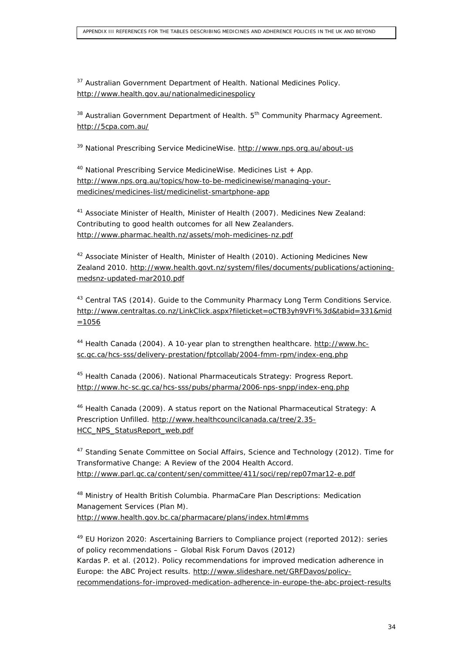<sup>37</sup> Australian Government Department of Health. *National Medicines Policy*. <http://www.health.gov.au/nationalmedicinespolicy>

<sup>38</sup> Australian Government Department of Health. *5th Community Pharmacy Agreement*. <http://5cpa.com.au/>

<sup>39</sup> National Prescribing Service MedicineWise.<http://www.nps.org.au/about-us>

<sup>40</sup> National Prescribing Service MedicineWise. *Medicines List + App*. [http://www.nps.org.au/topics/how-to-be-medicinewise/managing-your](http://www.nps.org.au/topics/how-to-be-medicinewise/managing-your-medicines/medicines-list/medicinelist-smartphone-app)[medicines/medicines-list/medicinelist-smartphone-app](http://www.nps.org.au/topics/how-to-be-medicinewise/managing-your-medicines/medicines-list/medicinelist-smartphone-app)

<sup>41</sup> Associate Minister of Health, Minister of Health (2007). *Medicines New Zealand: Contributing to good health outcomes for all New Zealanders*. <http://www.pharmac.health.nz/assets/moh-medicines-nz.pdf>

<sup>42</sup> Associate Minister of Health, Minister of Health (2010). *Actioning Medicines New Zealand 2010*. [http://www.health.govt.nz/system/files/documents/publications/actioning](http://www.health.govt.nz/system/files/documents/publications/actioning-medsnz-updated-mar2010.pdf)[medsnz-updated-mar2010.pdf](http://www.health.govt.nz/system/files/documents/publications/actioning-medsnz-updated-mar2010.pdf)

<sup>43</sup> Central TAS (2014). *Guide to the Community Pharmacy Long Term Conditions Service*. [http://www.centraltas.co.nz/LinkClick.aspx?fileticket=oCTB3yh9VFI%3d&tabid=331&mid](http://www.centraltas.co.nz/LinkClick.aspx?fileticket=oCTB3yh9VFI=&tabid=331&mid=1056) [=1056](http://www.centraltas.co.nz/LinkClick.aspx?fileticket=oCTB3yh9VFI=&tabid=331&mid=1056)

<sup>44</sup> Health Canada (2004). *A 10-year plan to strengthen healthcare*. [http://www.hc](http://www.hc-sc.gc.ca/hcs-sss/delivery-prestation/fptcollab/2004-fmm-rpm/index-eng.php)[sc.gc.ca/hcs-sss/delivery-prestation/fptcollab/2004-fmm-rpm/index-eng.php](http://www.hc-sc.gc.ca/hcs-sss/delivery-prestation/fptcollab/2004-fmm-rpm/index-eng.php)

<sup>45</sup> Health Canada (2006). *National Pharmaceuticals Strategy: Progress Report*. <http://www.hc-sc.gc.ca/hcs-sss/pubs/pharma/2006-nps-snpp/index-eng.php>

<sup>46</sup> Health Canada (2009). *A status report on the National Pharmaceutical Strategy: A Prescription Unfilled*. [http://www.healthcouncilcanada.ca/tree/2.35-](http://www.healthcouncilcanada.ca/tree/2.35-HCC_NPS_StatusReport_web.pdf) [HCC\\_NPS\\_StatusReport\\_web.pdf](http://www.healthcouncilcanada.ca/tree/2.35-HCC_NPS_StatusReport_web.pdf)

<sup>47</sup> Standing Senate Committee on Social Affairs, Science and Technology (2012). *Time for Transformative Change: A Review of the 2004 Health Accord*. <http://www.parl.gc.ca/content/sen/committee/411/soci/rep/rep07mar12-e.pdf>

<sup>48</sup> Ministry of Health British Columbia. *PharmaCare Plan Descriptions: Medication Management Services (Plan M)*. [http://www.health.gov.bc.ca/pharmacare/plans/index.html#mms](http://www.health.gov.bc.ca/pharmacare/plans/index.html)

<sup>49</sup> EU Horizon 2020: Ascertaining Barriers to Compliance project (reported 2012): series of policy recommendations – Global Risk Forum Davos (2012) Kardas P. *et al.* (2012). *Policy recommendations for improved medication adherence in Europe: the ABC Project results*. [http://www.slideshare.net/GRFDavos/policy](http://www.slideshare.net/GRFDavos/policy-recommendations-for-improved-medication-adherence-in-europe-the-abc-project-results)[recommendations-for-improved-medication-adherence-in-europe-the-abc-project-results](http://www.slideshare.net/GRFDavos/policy-recommendations-for-improved-medication-adherence-in-europe-the-abc-project-results)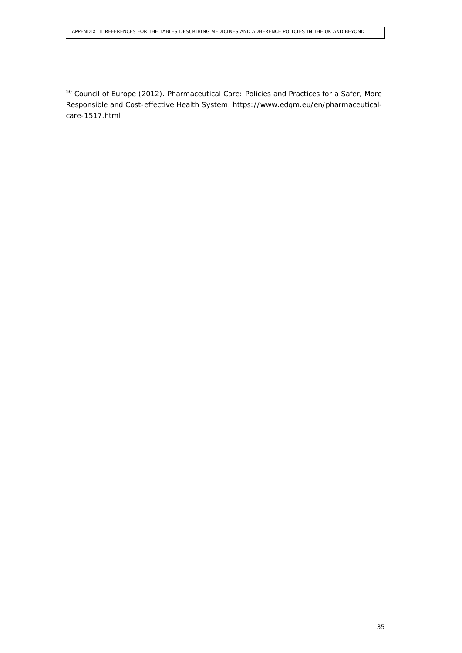<sup>50</sup> Council of Europe (2012). *Pharmaceutical Care: Policies and Practices for a Safer, More Responsible and Cost-effective Health System*. [https://www.edqm.eu/en/pharmaceutical](https://www.edqm.eu/en/pharmaceutical-care-1517.html)[care-1517.html](https://www.edqm.eu/en/pharmaceutical-care-1517.html)